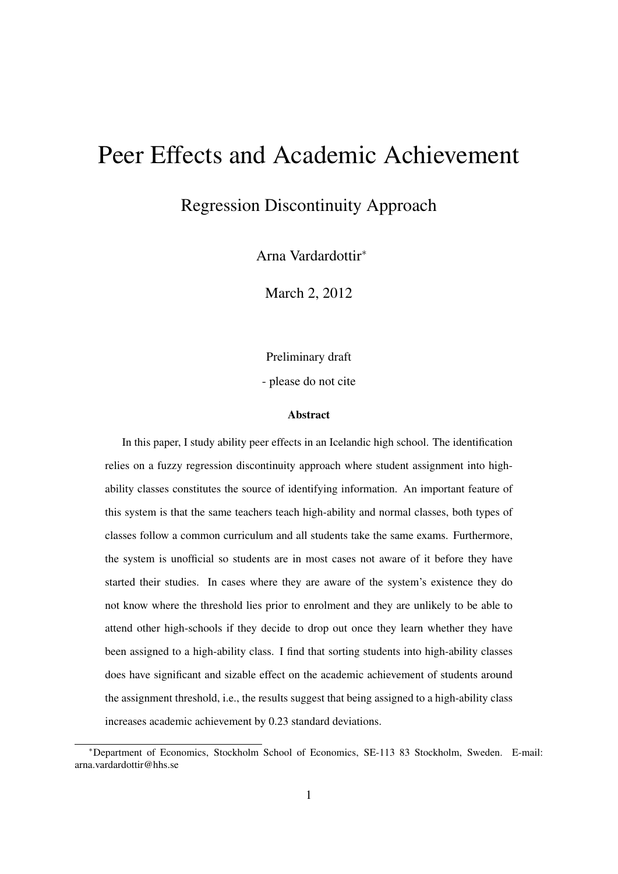# Peer Effects and Academic Achievement

Regression Discontinuity Approach

Arna Vardardottir<sup>∗</sup>

March 2, 2012

Preliminary draft

- please do not cite

#### Abstract

In this paper, I study ability peer effects in an Icelandic high school. The identification relies on a fuzzy regression discontinuity approach where student assignment into highability classes constitutes the source of identifying information. An important feature of this system is that the same teachers teach high-ability and normal classes, both types of classes follow a common curriculum and all students take the same exams. Furthermore, the system is unofficial so students are in most cases not aware of it before they have started their studies. In cases where they are aware of the system's existence they do not know where the threshold lies prior to enrolment and they are unlikely to be able to attend other high-schools if they decide to drop out once they learn whether they have been assigned to a high-ability class. I find that sorting students into high-ability classes does have significant and sizable effect on the academic achievement of students around the assignment threshold, i.e., the results suggest that being assigned to a high-ability class increases academic achievement by 0.23 standard deviations.

<sup>∗</sup>Department of Economics, Stockholm School of Economics, SE-113 83 Stockholm, Sweden. E-mail: arna.vardardottir@hhs.se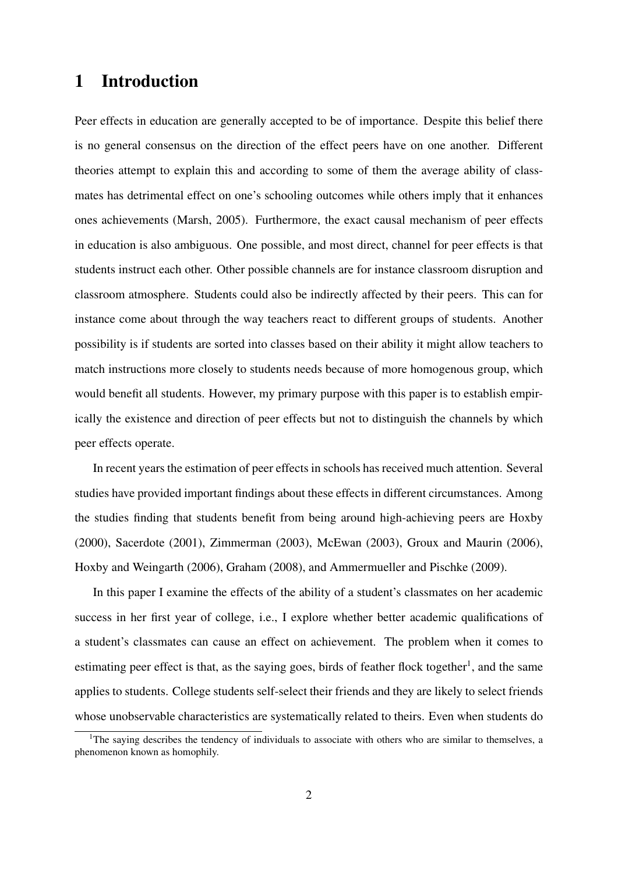## 1 Introduction

Peer effects in education are generally accepted to be of importance. Despite this belief there is no general consensus on the direction of the effect peers have on one another. Different theories attempt to explain this and according to some of them the average ability of classmates has detrimental effect on one's schooling outcomes while others imply that it enhances ones achievements (Marsh, 2005). Furthermore, the exact causal mechanism of peer effects in education is also ambiguous. One possible, and most direct, channel for peer effects is that students instruct each other. Other possible channels are for instance classroom disruption and classroom atmosphere. Students could also be indirectly affected by their peers. This can for instance come about through the way teachers react to different groups of students. Another possibility is if students are sorted into classes based on their ability it might allow teachers to match instructions more closely to students needs because of more homogenous group, which would benefit all students. However, my primary purpose with this paper is to establish empirically the existence and direction of peer effects but not to distinguish the channels by which peer effects operate.

In recent years the estimation of peer effects in schools has received much attention. Several studies have provided important findings about these effects in different circumstances. Among the studies finding that students benefit from being around high-achieving peers are Hoxby (2000), Sacerdote (2001), Zimmerman (2003), McEwan (2003), Groux and Maurin (2006), Hoxby and Weingarth (2006), Graham (2008), and Ammermueller and Pischke (2009).

In this paper I examine the effects of the ability of a student's classmates on her academic success in her first year of college, i.e., I explore whether better academic qualifications of a student's classmates can cause an effect on achievement. The problem when it comes to estimating peer effect is that, as the saying goes, birds of feather flock together<sup>1</sup>, and the same applies to students. College students self-select their friends and they are likely to select friends whose unobservable characteristics are systematically related to theirs. Even when students do

<sup>&</sup>lt;sup>1</sup>The saying describes the tendency of individuals to associate with others who are similar to themselves, a phenomenon known as homophily.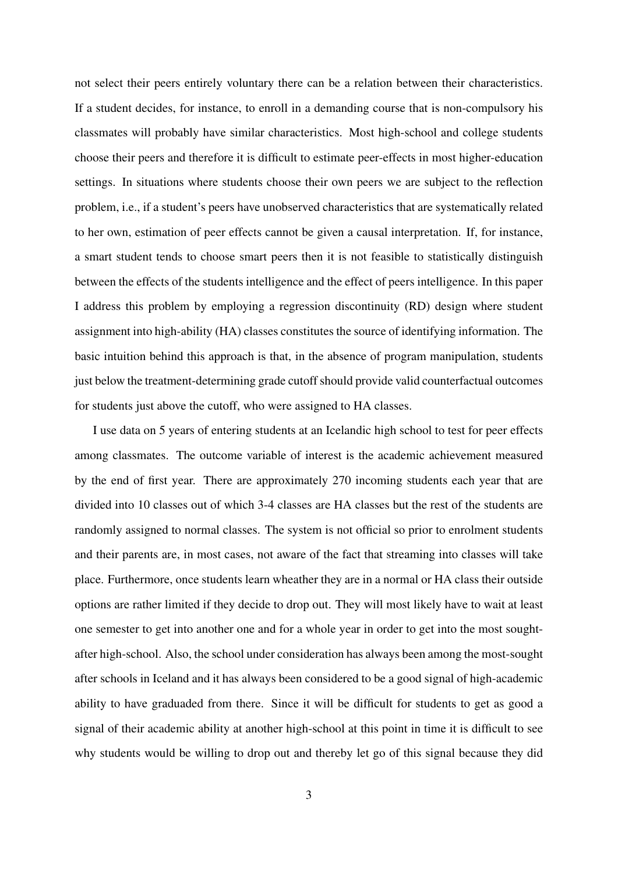not select their peers entirely voluntary there can be a relation between their characteristics. If a student decides, for instance, to enroll in a demanding course that is non-compulsory his classmates will probably have similar characteristics. Most high-school and college students choose their peers and therefore it is difficult to estimate peer-effects in most higher-education settings. In situations where students choose their own peers we are subject to the reflection problem, i.e., if a student's peers have unobserved characteristics that are systematically related to her own, estimation of peer effects cannot be given a causal interpretation. If, for instance, a smart student tends to choose smart peers then it is not feasible to statistically distinguish between the effects of the students intelligence and the effect of peers intelligence. In this paper I address this problem by employing a regression discontinuity (RD) design where student assignment into high-ability (HA) classes constitutes the source of identifying information. The basic intuition behind this approach is that, in the absence of program manipulation, students just below the treatment-determining grade cutoff should provide valid counterfactual outcomes for students just above the cutoff, who were assigned to HA classes.

I use data on 5 years of entering students at an Icelandic high school to test for peer effects among classmates. The outcome variable of interest is the academic achievement measured by the end of first year. There are approximately 270 incoming students each year that are divided into 10 classes out of which 3-4 classes are HA classes but the rest of the students are randomly assigned to normal classes. The system is not official so prior to enrolment students and their parents are, in most cases, not aware of the fact that streaming into classes will take place. Furthermore, once students learn wheather they are in a normal or HA class their outside options are rather limited if they decide to drop out. They will most likely have to wait at least one semester to get into another one and for a whole year in order to get into the most soughtafter high-school. Also, the school under consideration has always been among the most-sought after schools in Iceland and it has always been considered to be a good signal of high-academic ability to have graduaded from there. Since it will be difficult for students to get as good a signal of their academic ability at another high-school at this point in time it is difficult to see why students would be willing to drop out and thereby let go of this signal because they did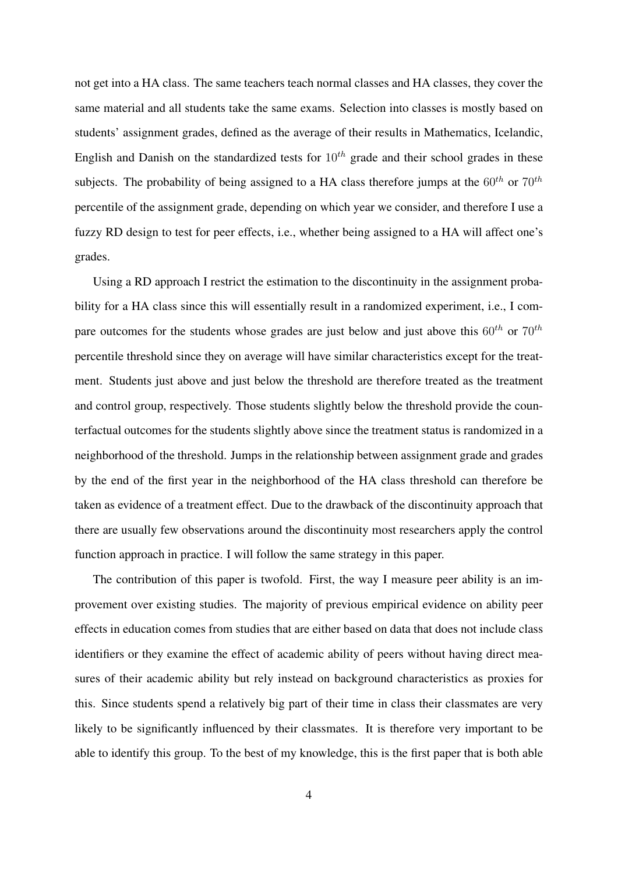not get into a HA class. The same teachers teach normal classes and HA classes, they cover the same material and all students take the same exams. Selection into classes is mostly based on students' assignment grades, defined as the average of their results in Mathematics, Icelandic, English and Danish on the standardized tests for  $10^{th}$  grade and their school grades in these subjects. The probability of being assigned to a HA class therefore jumps at the  $60^{th}$  or  $70^{th}$ percentile of the assignment grade, depending on which year we consider, and therefore I use a fuzzy RD design to test for peer effects, i.e., whether being assigned to a HA will affect one's grades.

Using a RD approach I restrict the estimation to the discontinuity in the assignment probability for a HA class since this will essentially result in a randomized experiment, i.e., I compare outcomes for the students whose grades are just below and just above this  $60^{th}$  or  $70^{th}$ percentile threshold since they on average will have similar characteristics except for the treatment. Students just above and just below the threshold are therefore treated as the treatment and control group, respectively. Those students slightly below the threshold provide the counterfactual outcomes for the students slightly above since the treatment status is randomized in a neighborhood of the threshold. Jumps in the relationship between assignment grade and grades by the end of the first year in the neighborhood of the HA class threshold can therefore be taken as evidence of a treatment effect. Due to the drawback of the discontinuity approach that there are usually few observations around the discontinuity most researchers apply the control function approach in practice. I will follow the same strategy in this paper.

The contribution of this paper is twofold. First, the way I measure peer ability is an improvement over existing studies. The majority of previous empirical evidence on ability peer effects in education comes from studies that are either based on data that does not include class identifiers or they examine the effect of academic ability of peers without having direct measures of their academic ability but rely instead on background characteristics as proxies for this. Since students spend a relatively big part of their time in class their classmates are very likely to be significantly influenced by their classmates. It is therefore very important to be able to identify this group. To the best of my knowledge, this is the first paper that is both able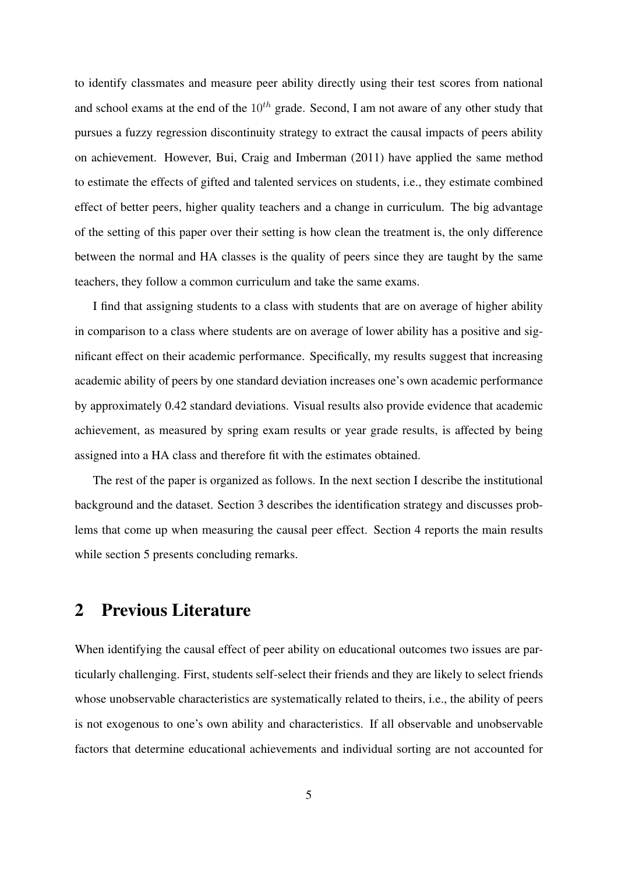to identify classmates and measure peer ability directly using their test scores from national and school exams at the end of the  $10^{th}$  grade. Second, I am not aware of any other study that pursues a fuzzy regression discontinuity strategy to extract the causal impacts of peers ability on achievement. However, Bui, Craig and Imberman (2011) have applied the same method to estimate the effects of gifted and talented services on students, i.e., they estimate combined effect of better peers, higher quality teachers and a change in curriculum. The big advantage of the setting of this paper over their setting is how clean the treatment is, the only difference between the normal and HA classes is the quality of peers since they are taught by the same teachers, they follow a common curriculum and take the same exams.

I find that assigning students to a class with students that are on average of higher ability in comparison to a class where students are on average of lower ability has a positive and significant effect on their academic performance. Specifically, my results suggest that increasing academic ability of peers by one standard deviation increases one's own academic performance by approximately 0.42 standard deviations. Visual results also provide evidence that academic achievement, as measured by spring exam results or year grade results, is affected by being assigned into a HA class and therefore fit with the estimates obtained.

The rest of the paper is organized as follows. In the next section I describe the institutional background and the dataset. Section 3 describes the identification strategy and discusses problems that come up when measuring the causal peer effect. Section 4 reports the main results while section 5 presents concluding remarks.

# 2 Previous Literature

When identifying the causal effect of peer ability on educational outcomes two issues are particularly challenging. First, students self-select their friends and they are likely to select friends whose unobservable characteristics are systematically related to theirs, i.e., the ability of peers is not exogenous to one's own ability and characteristics. If all observable and unobservable factors that determine educational achievements and individual sorting are not accounted for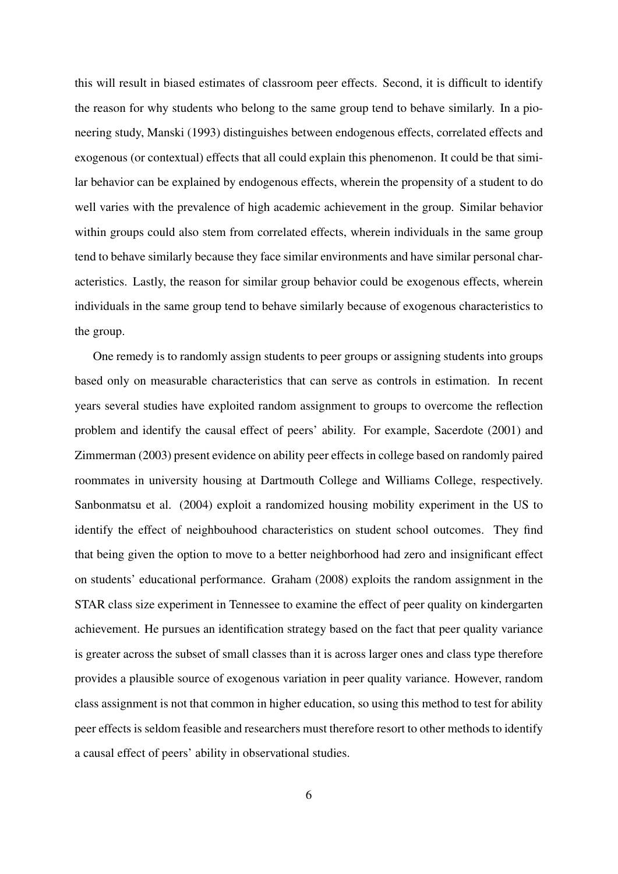this will result in biased estimates of classroom peer effects. Second, it is difficult to identify the reason for why students who belong to the same group tend to behave similarly. In a pioneering study, Manski (1993) distinguishes between endogenous effects, correlated effects and exogenous (or contextual) effects that all could explain this phenomenon. It could be that similar behavior can be explained by endogenous effects, wherein the propensity of a student to do well varies with the prevalence of high academic achievement in the group. Similar behavior within groups could also stem from correlated effects, wherein individuals in the same group tend to behave similarly because they face similar environments and have similar personal characteristics. Lastly, the reason for similar group behavior could be exogenous effects, wherein individuals in the same group tend to behave similarly because of exogenous characteristics to the group.

One remedy is to randomly assign students to peer groups or assigning students into groups based only on measurable characteristics that can serve as controls in estimation. In recent years several studies have exploited random assignment to groups to overcome the reflection problem and identify the causal effect of peers' ability. For example, Sacerdote (2001) and Zimmerman (2003) present evidence on ability peer effects in college based on randomly paired roommates in university housing at Dartmouth College and Williams College, respectively. Sanbonmatsu et al. (2004) exploit a randomized housing mobility experiment in the US to identify the effect of neighbouhood characteristics on student school outcomes. They find that being given the option to move to a better neighborhood had zero and insignificant effect on students' educational performance. Graham (2008) exploits the random assignment in the STAR class size experiment in Tennessee to examine the effect of peer quality on kindergarten achievement. He pursues an identification strategy based on the fact that peer quality variance is greater across the subset of small classes than it is across larger ones and class type therefore provides a plausible source of exogenous variation in peer quality variance. However, random class assignment is not that common in higher education, so using this method to test for ability peer effects is seldom feasible and researchers must therefore resort to other methods to identify a causal effect of peers' ability in observational studies.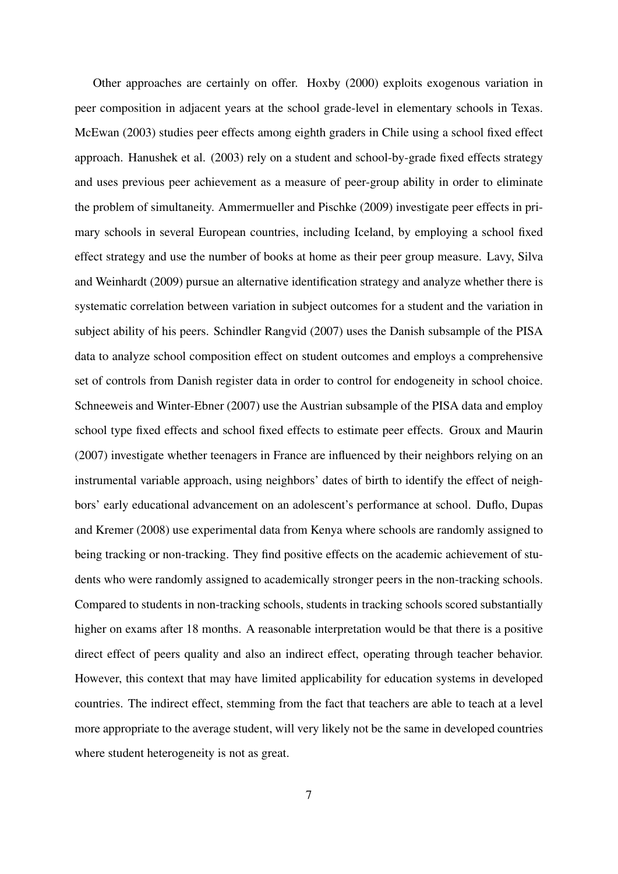Other approaches are certainly on offer. Hoxby (2000) exploits exogenous variation in peer composition in adjacent years at the school grade-level in elementary schools in Texas. McEwan (2003) studies peer effects among eighth graders in Chile using a school fixed effect approach. Hanushek et al. (2003) rely on a student and school-by-grade fixed effects strategy and uses previous peer achievement as a measure of peer-group ability in order to eliminate the problem of simultaneity. Ammermueller and Pischke (2009) investigate peer effects in primary schools in several European countries, including Iceland, by employing a school fixed effect strategy and use the number of books at home as their peer group measure. Lavy, Silva and Weinhardt (2009) pursue an alternative identification strategy and analyze whether there is systematic correlation between variation in subject outcomes for a student and the variation in subject ability of his peers. Schindler Rangvid (2007) uses the Danish subsample of the PISA data to analyze school composition effect on student outcomes and employs a comprehensive set of controls from Danish register data in order to control for endogeneity in school choice. Schneeweis and Winter-Ebner (2007) use the Austrian subsample of the PISA data and employ school type fixed effects and school fixed effects to estimate peer effects. Groux and Maurin (2007) investigate whether teenagers in France are influenced by their neighbors relying on an instrumental variable approach, using neighbors' dates of birth to identify the effect of neighbors' early educational advancement on an adolescent's performance at school. Duflo, Dupas and Kremer (2008) use experimental data from Kenya where schools are randomly assigned to being tracking or non-tracking. They find positive effects on the academic achievement of students who were randomly assigned to academically stronger peers in the non-tracking schools. Compared to students in non-tracking schools, students in tracking schools scored substantially higher on exams after 18 months. A reasonable interpretation would be that there is a positive direct effect of peers quality and also an indirect effect, operating through teacher behavior. However, this context that may have limited applicability for education systems in developed countries. The indirect effect, stemming from the fact that teachers are able to teach at a level more appropriate to the average student, will very likely not be the same in developed countries where student heterogeneity is not as great.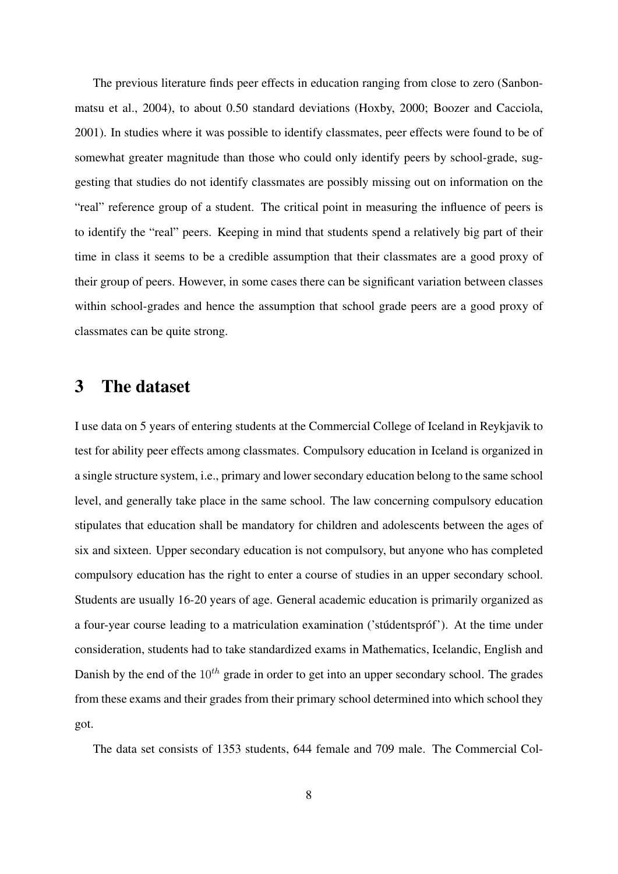The previous literature finds peer effects in education ranging from close to zero (Sanbonmatsu et al., 2004), to about 0.50 standard deviations (Hoxby, 2000; Boozer and Cacciola, 2001). In studies where it was possible to identify classmates, peer effects were found to be of somewhat greater magnitude than those who could only identify peers by school-grade, suggesting that studies do not identify classmates are possibly missing out on information on the "real" reference group of a student. The critical point in measuring the influence of peers is to identify the "real" peers. Keeping in mind that students spend a relatively big part of their time in class it seems to be a credible assumption that their classmates are a good proxy of their group of peers. However, in some cases there can be significant variation between classes within school-grades and hence the assumption that school grade peers are a good proxy of classmates can be quite strong.

#### 3 The dataset

I use data on 5 years of entering students at the Commercial College of Iceland in Reykjavik to test for ability peer effects among classmates. Compulsory education in Iceland is organized in a single structure system, i.e., primary and lower secondary education belong to the same school level, and generally take place in the same school. The law concerning compulsory education stipulates that education shall be mandatory for children and adolescents between the ages of six and sixteen. Upper secondary education is not compulsory, but anyone who has completed compulsory education has the right to enter a course of studies in an upper secondary school. Students are usually 16-20 years of age. General academic education is primarily organized as a four-year course leading to a matriculation examination ('stúdentspróf'). At the time under consideration, students had to take standardized exams in Mathematics, Icelandic, English and Danish by the end of the  $10^{th}$  grade in order to get into an upper secondary school. The grades from these exams and their grades from their primary school determined into which school they got.

The data set consists of 1353 students, 644 female and 709 male. The Commercial Col-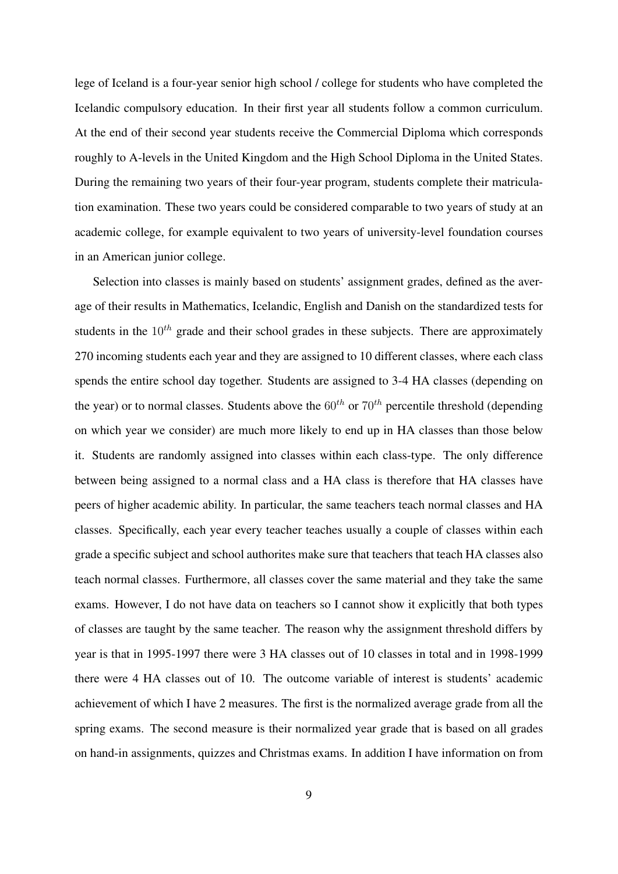lege of Iceland is a four-year senior high school / college for students who have completed the Icelandic compulsory education. In their first year all students follow a common curriculum. At the end of their second year students receive the Commercial Diploma which corresponds roughly to A-levels in the United Kingdom and the High School Diploma in the United States. During the remaining two years of their four-year program, students complete their matriculation examination. These two years could be considered comparable to two years of study at an academic college, for example equivalent to two years of university-level foundation courses in an American junior college.

Selection into classes is mainly based on students' assignment grades, defined as the average of their results in Mathematics, Icelandic, English and Danish on the standardized tests for students in the  $10^{th}$  grade and their school grades in these subjects. There are approximately 270 incoming students each year and they are assigned to 10 different classes, where each class spends the entire school day together. Students are assigned to 3-4 HA classes (depending on the year) or to normal classes. Students above the  $60^{th}$  or  $70^{th}$  percentile threshold (depending on which year we consider) are much more likely to end up in HA classes than those below it. Students are randomly assigned into classes within each class-type. The only difference between being assigned to a normal class and a HA class is therefore that HA classes have peers of higher academic ability. In particular, the same teachers teach normal classes and HA classes. Specifically, each year every teacher teaches usually a couple of classes within each grade a specific subject and school authorites make sure that teachers that teach HA classes also teach normal classes. Furthermore, all classes cover the same material and they take the same exams. However, I do not have data on teachers so I cannot show it explicitly that both types of classes are taught by the same teacher. The reason why the assignment threshold differs by year is that in 1995-1997 there were 3 HA classes out of 10 classes in total and in 1998-1999 there were 4 HA classes out of 10. The outcome variable of interest is students' academic achievement of which I have 2 measures. The first is the normalized average grade from all the spring exams. The second measure is their normalized year grade that is based on all grades on hand-in assignments, quizzes and Christmas exams. In addition I have information on from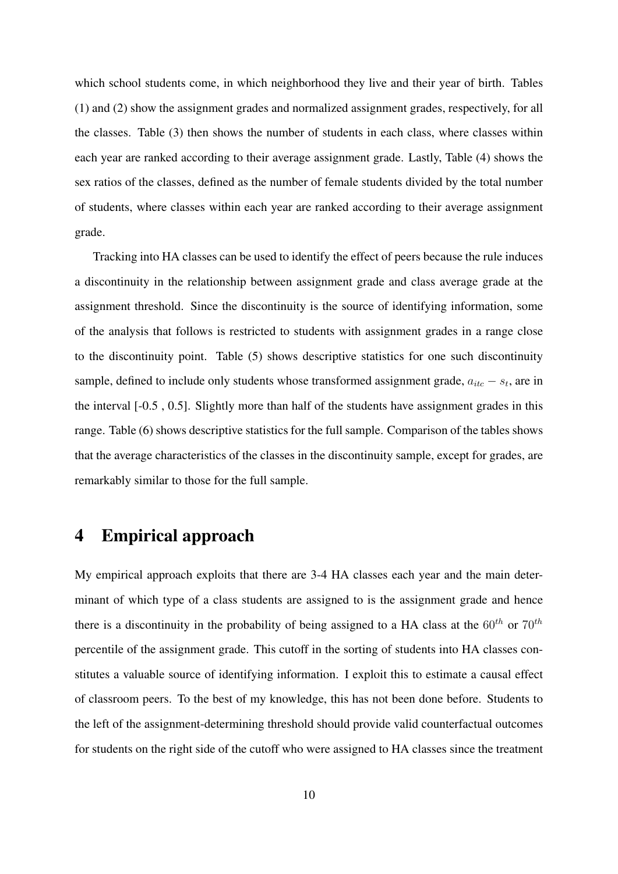which school students come, in which neighborhood they live and their year of birth. Tables (1) and (2) show the assignment grades and normalized assignment grades, respectively, for all the classes. Table (3) then shows the number of students in each class, where classes within each year are ranked according to their average assignment grade. Lastly, Table (4) shows the sex ratios of the classes, defined as the number of female students divided by the total number of students, where classes within each year are ranked according to their average assignment grade.

Tracking into HA classes can be used to identify the effect of peers because the rule induces a discontinuity in the relationship between assignment grade and class average grade at the assignment threshold. Since the discontinuity is the source of identifying information, some of the analysis that follows is restricted to students with assignment grades in a range close to the discontinuity point. Table (5) shows descriptive statistics for one such discontinuity sample, defined to include only students whose transformed assignment grade,  $a_{itc} - s_t$ , are in the interval [-0.5 , 0.5]. Slightly more than half of the students have assignment grades in this range. Table (6) shows descriptive statistics for the full sample. Comparison of the tables shows that the average characteristics of the classes in the discontinuity sample, except for grades, are remarkably similar to those for the full sample.

#### 4 Empirical approach

My empirical approach exploits that there are 3-4 HA classes each year and the main determinant of which type of a class students are assigned to is the assignment grade and hence there is a discontinuity in the probability of being assigned to a HA class at the  $60^{th}$  or  $70^{th}$ percentile of the assignment grade. This cutoff in the sorting of students into HA classes constitutes a valuable source of identifying information. I exploit this to estimate a causal effect of classroom peers. To the best of my knowledge, this has not been done before. Students to the left of the assignment-determining threshold should provide valid counterfactual outcomes for students on the right side of the cutoff who were assigned to HA classes since the treatment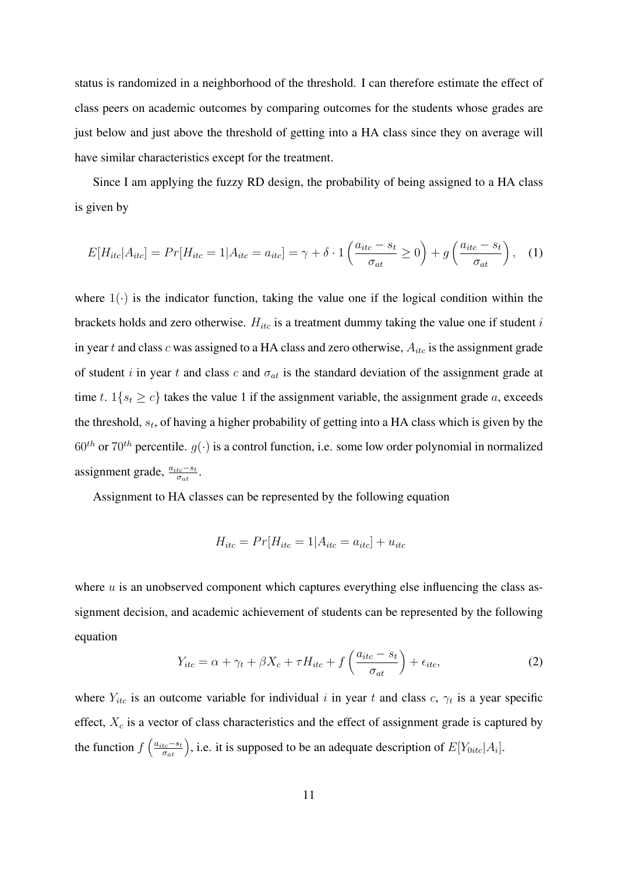status is randomized in a neighborhood of the threshold. I can therefore estimate the effect of class peers on academic outcomes by comparing outcomes for the students whose grades are just below and just above the threshold of getting into a HA class since they on average will have similar characteristics except for the treatment.

Since I am applying the fuzzy RD design, the probability of being assigned to a HA class is given by

$$
E[H_{itc}|A_{itc}] = Pr[H_{itc} = 1|A_{itc} = a_{itc}] = \gamma + \delta \cdot 1 \left(\frac{a_{itc} - s_t}{\sigma_{at}} \ge 0\right) + g\left(\frac{a_{itc} - s_t}{\sigma_{at}}\right), \quad (1)
$$

where  $1(\cdot)$  is the indicator function, taking the value one if the logical condition within the brackets holds and zero otherwise.  $H_{itc}$  is a treatment dummy taking the value one if student i in year t and class c was assigned to a HA class and zero otherwise,  $A_{itc}$  is the assignment grade of student i in year t and class c and  $\sigma_{at}$  is the standard deviation of the assignment grade at time t.  $1\{s_t \geq c\}$  takes the value 1 if the assignment variable, the assignment grade a, exceeds the threshold,  $s_t$ , of having a higher probability of getting into a HA class which is given by the  $60<sup>th</sup>$  or  $70<sup>th</sup>$  percentile.  $g(.)$  is a control function, i.e. some low order polynomial in normalized assignment grade,  $\frac{a_{itc}-s_t}{\sigma_{at}}$ .

Assignment to HA classes can be represented by the following equation

$$
H_{itc} = Pr[H_{itc} = 1 | A_{itc} = a_{itc}] + u_{itc}
$$

where  $u$  is an unobserved component which captures everything else influencing the class assignment decision, and academic achievement of students can be represented by the following equation

$$
Y_{itc} = \alpha + \gamma_t + \beta X_c + \tau H_{itc} + f\left(\frac{a_{itc} - s_t}{\sigma_{at}}\right) + \epsilon_{itc},\tag{2}
$$

where  $Y_{itc}$  is an outcome variable for individual i in year t and class c,  $\gamma_t$  is a year specific effect,  $X_c$  is a vector of class characteristics and the effect of assignment grade is captured by the function  $f\left(\frac{a_{itc}-s_t}{\sigma_{at}}\right)$ , i.e. it is supposed to be an adequate description of  $E[Y_{0itc}|A_i]$ .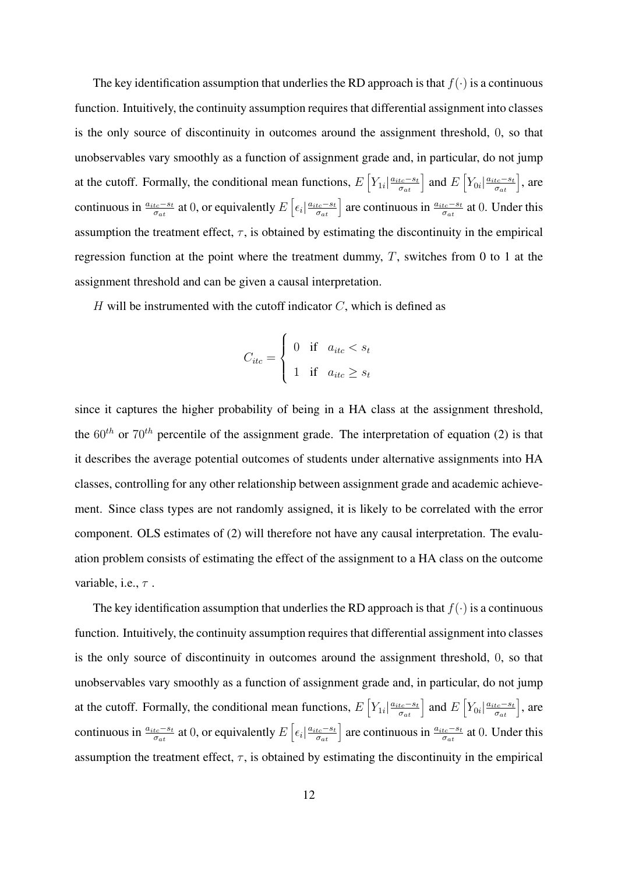The key identification assumption that underlies the RD approach is that  $f(\cdot)$  is a continuous function. Intuitively, the continuity assumption requires that differential assignment into classes is the only source of discontinuity in outcomes around the assignment threshold, 0, so that unobservables vary smoothly as a function of assignment grade and, in particular, do not jump at the cutoff. Formally, the conditional mean functions,  $E\left[Y_{1i}|\frac{a_{itc}-s_t}{\sigma_{at}}\right]$  and  $E\left[Y_{0i}|\frac{a_{itc}-s_t}{\sigma_{at}}\right]$ , are continuous in  $\frac{a_{itc}-s_t}{\sigma_{at}}$  at 0, or equivalently  $E\left[\epsilon_i \Big|\frac{a_{itc}-s_t}{\sigma_{at}}\right]$  are continuous in  $\frac{a_{itc}-s_t}{\sigma_{at}}$  at 0. Under this assumption the treatment effect,  $\tau$ , is obtained by estimating the discontinuity in the empirical regression function at the point where the treatment dummy,  $T$ , switches from 0 to 1 at the assignment threshold and can be given a causal interpretation.

H will be instrumented with the cutoff indicator  $C$ , which is defined as

$$
C_{itc} = \begin{cases} 0 & \text{if } a_{itc} < s_t \\ 1 & \text{if } a_{itc} \ge s_t \end{cases}
$$

since it captures the higher probability of being in a HA class at the assignment threshold, the  $60<sup>th</sup>$  or  $70<sup>th</sup>$  percentile of the assignment grade. The interpretation of equation (2) is that it describes the average potential outcomes of students under alternative assignments into HA classes, controlling for any other relationship between assignment grade and academic achievement. Since class types are not randomly assigned, it is likely to be correlated with the error component. OLS estimates of (2) will therefore not have any causal interpretation. The evaluation problem consists of estimating the effect of the assignment to a HA class on the outcome variable, i.e.,  $\tau$ .

The key identification assumption that underlies the RD approach is that  $f(\cdot)$  is a continuous function. Intuitively, the continuity assumption requires that differential assignment into classes is the only source of discontinuity in outcomes around the assignment threshold, 0, so that unobservables vary smoothly as a function of assignment grade and, in particular, do not jump at the cutoff. Formally, the conditional mean functions,  $E\left[Y_{1i}|\frac{a_{itc}-s_t}{\sigma_{at}}\right]$  and  $E\left[Y_{0i}|\frac{a_{itc}-s_t}{\sigma_{at}}\right]$ , are continuous in  $\frac{a_{itc}-s_t}{\sigma_{at}}$  at 0, or equivalently  $E\left[\epsilon_i \Big|\frac{a_{itc}-s_t}{\sigma_{at}}\right]$  are continuous in  $\frac{a_{itc}-s_t}{\sigma_{at}}$  at 0. Under this assumption the treatment effect,  $\tau$ , is obtained by estimating the discontinuity in the empirical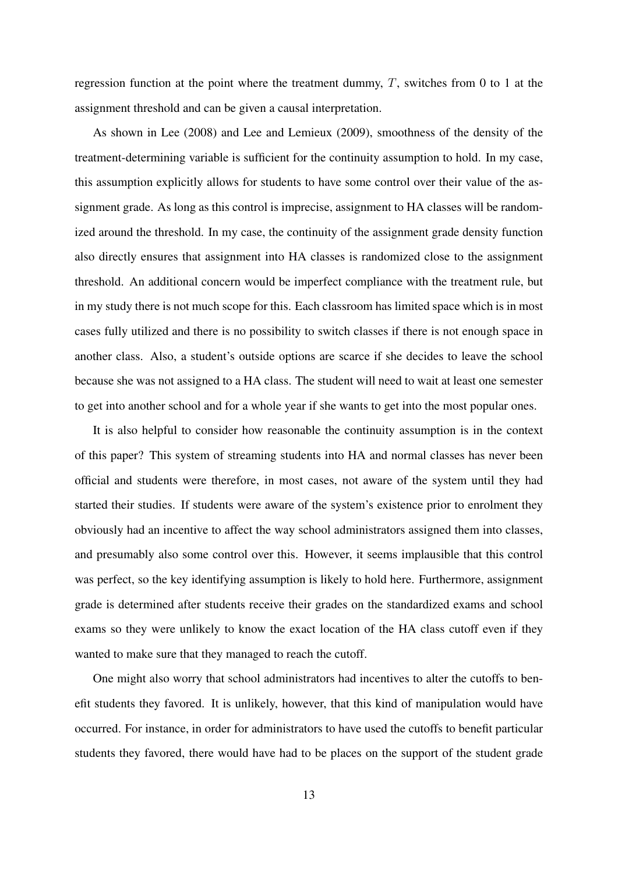regression function at the point where the treatment dummy,  $T$ , switches from 0 to 1 at the assignment threshold and can be given a causal interpretation.

As shown in Lee (2008) and Lee and Lemieux (2009), smoothness of the density of the treatment-determining variable is sufficient for the continuity assumption to hold. In my case, this assumption explicitly allows for students to have some control over their value of the assignment grade. As long as this control is imprecise, assignment to HA classes will be randomized around the threshold. In my case, the continuity of the assignment grade density function also directly ensures that assignment into HA classes is randomized close to the assignment threshold. An additional concern would be imperfect compliance with the treatment rule, but in my study there is not much scope for this. Each classroom has limited space which is in most cases fully utilized and there is no possibility to switch classes if there is not enough space in another class. Also, a student's outside options are scarce if she decides to leave the school because she was not assigned to a HA class. The student will need to wait at least one semester to get into another school and for a whole year if she wants to get into the most popular ones.

It is also helpful to consider how reasonable the continuity assumption is in the context of this paper? This system of streaming students into HA and normal classes has never been official and students were therefore, in most cases, not aware of the system until they had started their studies. If students were aware of the system's existence prior to enrolment they obviously had an incentive to affect the way school administrators assigned them into classes, and presumably also some control over this. However, it seems implausible that this control was perfect, so the key identifying assumption is likely to hold here. Furthermore, assignment grade is determined after students receive their grades on the standardized exams and school exams so they were unlikely to know the exact location of the HA class cutoff even if they wanted to make sure that they managed to reach the cutoff.

One might also worry that school administrators had incentives to alter the cutoffs to benefit students they favored. It is unlikely, however, that this kind of manipulation would have occurred. For instance, in order for administrators to have used the cutoffs to benefit particular students they favored, there would have had to be places on the support of the student grade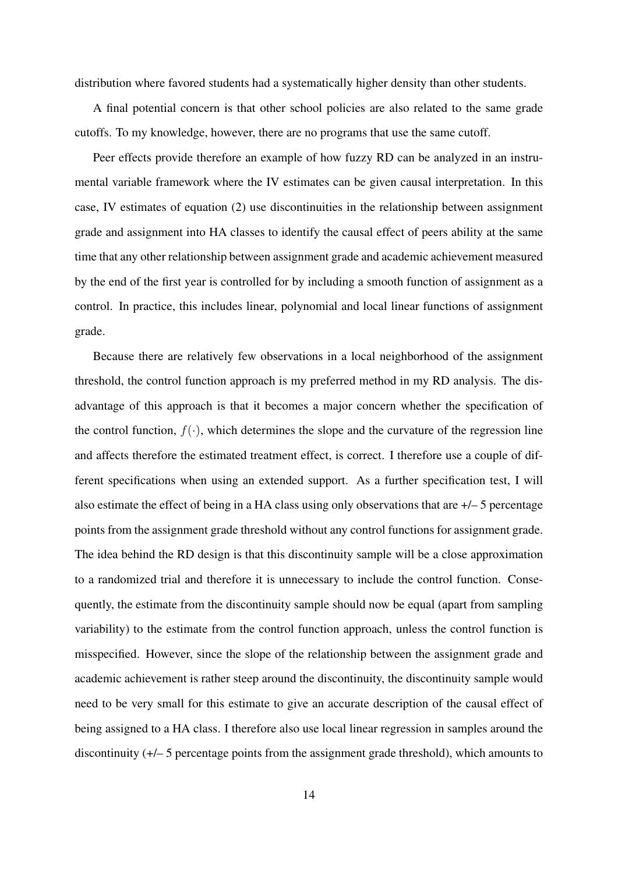distribution where favored students had a systematically higher density than other students.

A final potential concern is that other school policies are also related to the same grade cutoffs. To my knowledge, however, there are no programs that use the same cutoff.

Peer effects provide therefore an example of how fuzzy RD can be analyzed in an instrumental variable framework where the IV estimates can be given causal interpretation. In this case, IV estimates of equation (2) use discontinuities in the relationship between assignment grade and assignment into HA classes to identify the causal effect of peers ability at the same time that any other relationship between assignment grade and academic achievement measured by the end of the first year is controlled for by including a smooth function of assignment as a control. In practice, this includes linear, polynomial and local linear functions of assignment grade.

Because there are relatively few observations in a local neighborhood of the assignment threshold, the control function approach is my preferred method in my RD analysis. The disadvantage of this approach is that it becomes a major concern whether the specification of the control function,  $f(\cdot)$ , which determines the slope and the curvature of the regression line and affects therefore the estimated treatment effect, is correct. I therefore use a couple of different specifications when using an extended support. As a further specification test, I will also estimate the effect of being in a HA class using only observations that are +/– 5 percentage points from the assignment grade threshold without any control functions for assignment grade. The idea behind the RD design is that this discontinuity sample will be a close approximation to a randomized trial and therefore it is unnecessary to include the control function. Consequently, the estimate from the discontinuity sample should now be equal (apart from sampling variability) to the estimate from the control function approach, unless the control function is misspecified. However, since the slope of the relationship between the assignment grade and academic achievement is rather steep around the discontinuity, the discontinuity sample would need to be very small for this estimate to give an accurate description of the causal effect of being assigned to a HA class. I therefore also use local linear regression in samples around the discontinuity (+/– 5 percentage points from the assignment grade threshold), which amounts to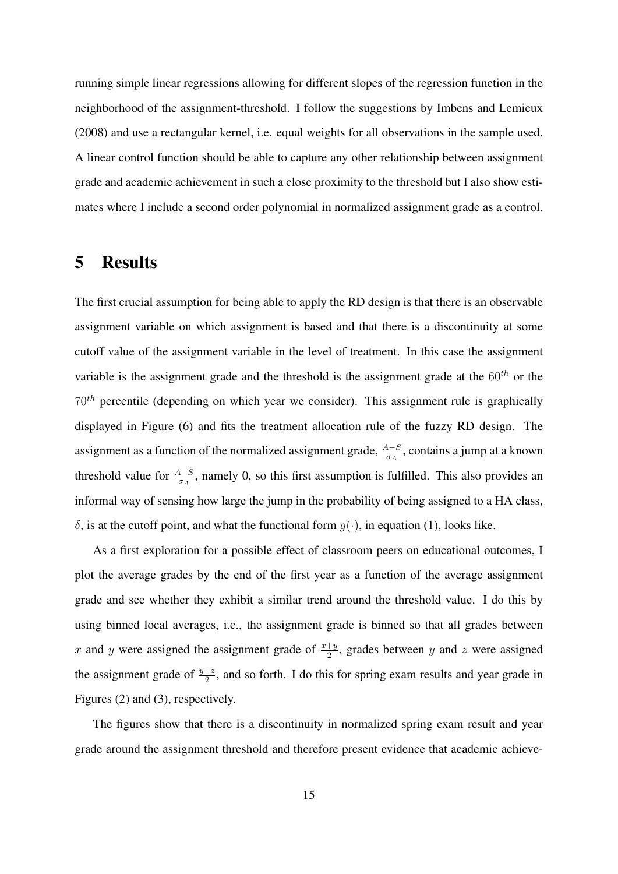running simple linear regressions allowing for different slopes of the regression function in the neighborhood of the assignment-threshold. I follow the suggestions by Imbens and Lemieux (2008) and use a rectangular kernel, i.e. equal weights for all observations in the sample used. A linear control function should be able to capture any other relationship between assignment grade and academic achievement in such a close proximity to the threshold but I also show estimates where I include a second order polynomial in normalized assignment grade as a control.

#### 5 Results

The first crucial assumption for being able to apply the RD design is that there is an observable assignment variable on which assignment is based and that there is a discontinuity at some cutoff value of the assignment variable in the level of treatment. In this case the assignment variable is the assignment grade and the threshold is the assignment grade at the  $60<sup>th</sup>$  or the  $70<sup>th</sup>$  percentile (depending on which year we consider). This assignment rule is graphically displayed in Figure (6) and fits the treatment allocation rule of the fuzzy RD design. The assignment as a function of the normalized assignment grade,  $\frac{A-S}{\sigma_A}$ , contains a jump at a known threshold value for  $\frac{A-S}{\sigma_A}$ , namely 0, so this first assumption is fulfilled. This also provides an informal way of sensing how large the jump in the probability of being assigned to a HA class,  $\delta$ , is at the cutoff point, and what the functional form  $q(\cdot)$ , in equation (1), looks like.

As a first exploration for a possible effect of classroom peers on educational outcomes, I plot the average grades by the end of the first year as a function of the average assignment grade and see whether they exhibit a similar trend around the threshold value. I do this by using binned local averages, i.e., the assignment grade is binned so that all grades between x and y were assigned the assignment grade of  $\frac{x+y}{2}$ , grades between y and z were assigned the assignment grade of  $\frac{y+z}{2}$ , and so forth. I do this for spring exam results and year grade in Figures (2) and (3), respectively.

The figures show that there is a discontinuity in normalized spring exam result and year grade around the assignment threshold and therefore present evidence that academic achieve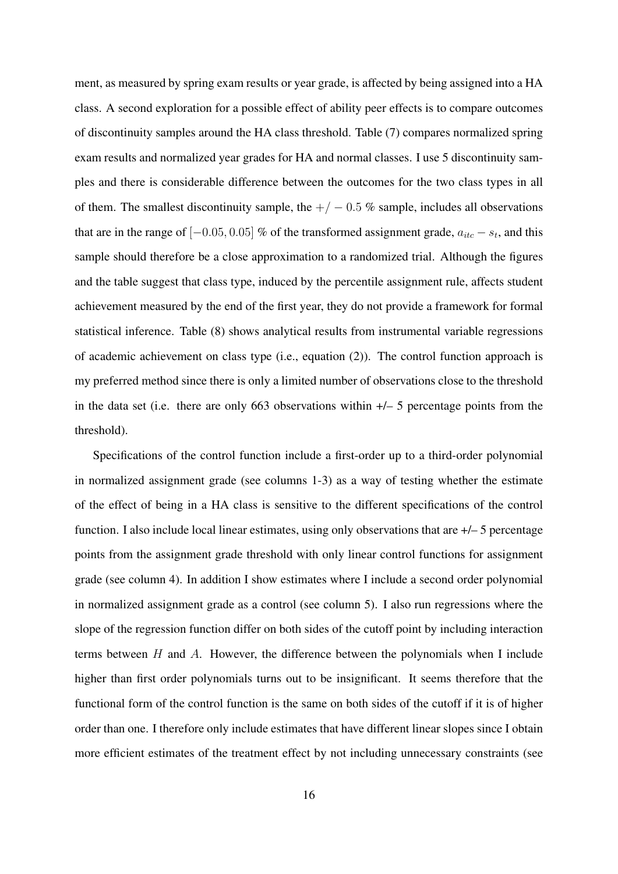ment, as measured by spring exam results or year grade, is affected by being assigned into a HA class. A second exploration for a possible effect of ability peer effects is to compare outcomes of discontinuity samples around the HA class threshold. Table (7) compares normalized spring exam results and normalized year grades for HA and normal classes. I use 5 discontinuity samples and there is considerable difference between the outcomes for the two class types in all of them. The smallest discontinuity sample, the  $+/-0.5\%$  sample, includes all observations that are in the range of  $[-0.05, 0.05]$  % of the transformed assignment grade,  $a_{itc} - s_t$ , and this sample should therefore be a close approximation to a randomized trial. Although the figures and the table suggest that class type, induced by the percentile assignment rule, affects student achievement measured by the end of the first year, they do not provide a framework for formal statistical inference. Table (8) shows analytical results from instrumental variable regressions of academic achievement on class type (i.e., equation (2)). The control function approach is my preferred method since there is only a limited number of observations close to the threshold in the data set (i.e. there are only 663 observations within  $+/-$  5 percentage points from the threshold).

Specifications of the control function include a first-order up to a third-order polynomial in normalized assignment grade (see columns 1-3) as a way of testing whether the estimate of the effect of being in a HA class is sensitive to the different specifications of the control function. I also include local linear estimates, using only observations that are +/– 5 percentage points from the assignment grade threshold with only linear control functions for assignment grade (see column 4). In addition I show estimates where I include a second order polynomial in normalized assignment grade as a control (see column 5). I also run regressions where the slope of the regression function differ on both sides of the cutoff point by including interaction terms between  $H$  and  $A$ . However, the difference between the polynomials when I include higher than first order polynomials turns out to be insignificant. It seems therefore that the functional form of the control function is the same on both sides of the cutoff if it is of higher order than one. I therefore only include estimates that have different linear slopes since I obtain more efficient estimates of the treatment effect by not including unnecessary constraints (see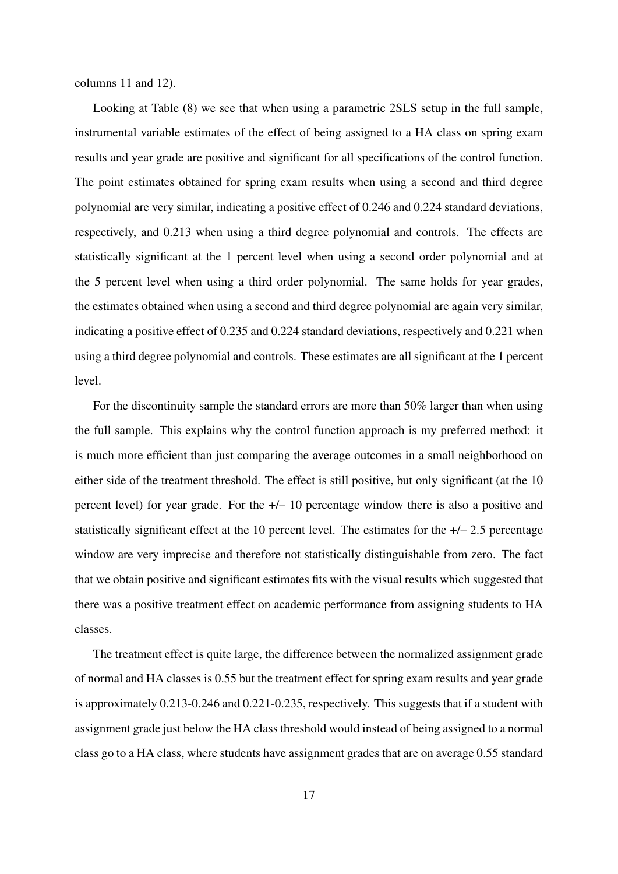columns 11 and 12).

Looking at Table (8) we see that when using a parametric 2SLS setup in the full sample, instrumental variable estimates of the effect of being assigned to a HA class on spring exam results and year grade are positive and significant for all specifications of the control function. The point estimates obtained for spring exam results when using a second and third degree polynomial are very similar, indicating a positive effect of 0.246 and 0.224 standard deviations, respectively, and 0.213 when using a third degree polynomial and controls. The effects are statistically significant at the 1 percent level when using a second order polynomial and at the 5 percent level when using a third order polynomial. The same holds for year grades, the estimates obtained when using a second and third degree polynomial are again very similar, indicating a positive effect of 0.235 and 0.224 standard deviations, respectively and 0.221 when using a third degree polynomial and controls. These estimates are all significant at the 1 percent level.

For the discontinuity sample the standard errors are more than 50% larger than when using the full sample. This explains why the control function approach is my preferred method: it is much more efficient than just comparing the average outcomes in a small neighborhood on either side of the treatment threshold. The effect is still positive, but only significant (at the 10 percent level) for year grade. For the +/– 10 percentage window there is also a positive and statistically significant effect at the 10 percent level. The estimates for the  $+/- 2.5$  percentage window are very imprecise and therefore not statistically distinguishable from zero. The fact that we obtain positive and significant estimates fits with the visual results which suggested that there was a positive treatment effect on academic performance from assigning students to HA classes.

The treatment effect is quite large, the difference between the normalized assignment grade of normal and HA classes is 0.55 but the treatment effect for spring exam results and year grade is approximately 0.213-0.246 and 0.221-0.235, respectively. This suggests that if a student with assignment grade just below the HA class threshold would instead of being assigned to a normal class go to a HA class, where students have assignment grades that are on average 0.55 standard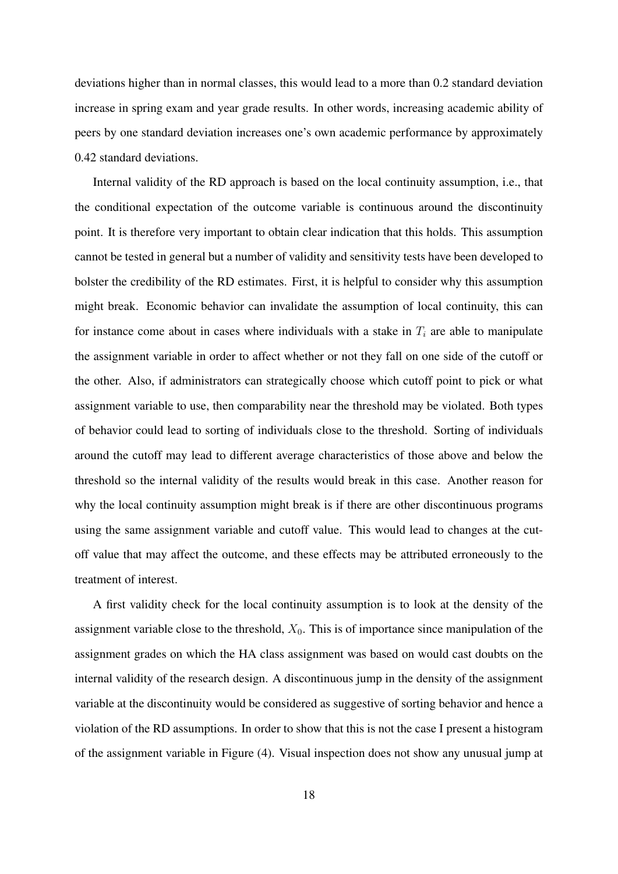deviations higher than in normal classes, this would lead to a more than 0.2 standard deviation increase in spring exam and year grade results. In other words, increasing academic ability of peers by one standard deviation increases one's own academic performance by approximately 0.42 standard deviations.

Internal validity of the RD approach is based on the local continuity assumption, i.e., that the conditional expectation of the outcome variable is continuous around the discontinuity point. It is therefore very important to obtain clear indication that this holds. This assumption cannot be tested in general but a number of validity and sensitivity tests have been developed to bolster the credibility of the RD estimates. First, it is helpful to consider why this assumption might break. Economic behavior can invalidate the assumption of local continuity, this can for instance come about in cases where individuals with a stake in  $T_i$  are able to manipulate the assignment variable in order to affect whether or not they fall on one side of the cutoff or the other. Also, if administrators can strategically choose which cutoff point to pick or what assignment variable to use, then comparability near the threshold may be violated. Both types of behavior could lead to sorting of individuals close to the threshold. Sorting of individuals around the cutoff may lead to different average characteristics of those above and below the threshold so the internal validity of the results would break in this case. Another reason for why the local continuity assumption might break is if there are other discontinuous programs using the same assignment variable and cutoff value. This would lead to changes at the cutoff value that may affect the outcome, and these effects may be attributed erroneously to the treatment of interest.

A first validity check for the local continuity assumption is to look at the density of the assignment variable close to the threshold,  $X_0$ . This is of importance since manipulation of the assignment grades on which the HA class assignment was based on would cast doubts on the internal validity of the research design. A discontinuous jump in the density of the assignment variable at the discontinuity would be considered as suggestive of sorting behavior and hence a violation of the RD assumptions. In order to show that this is not the case I present a histogram of the assignment variable in Figure (4). Visual inspection does not show any unusual jump at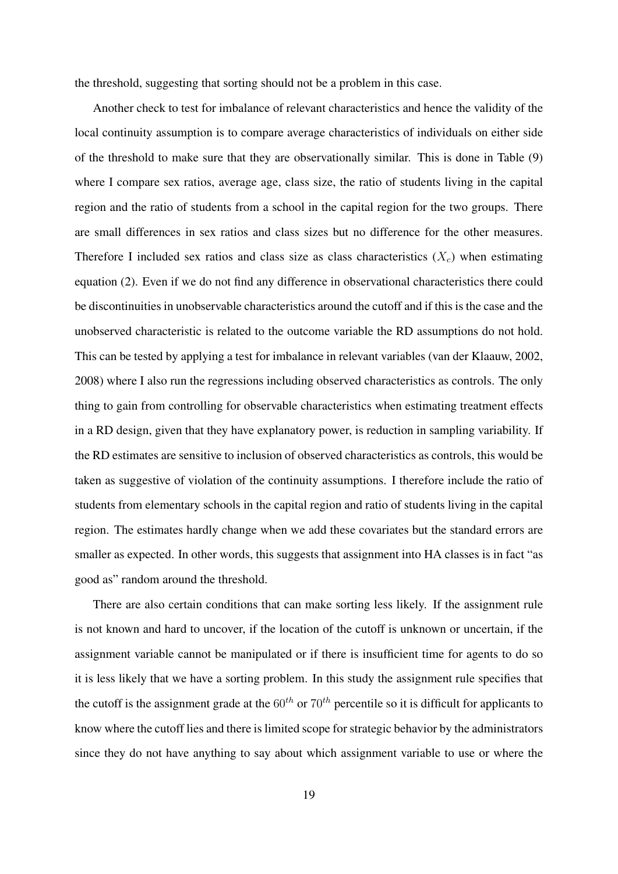the threshold, suggesting that sorting should not be a problem in this case.

Another check to test for imbalance of relevant characteristics and hence the validity of the local continuity assumption is to compare average characteristics of individuals on either side of the threshold to make sure that they are observationally similar. This is done in Table (9) where I compare sex ratios, average age, class size, the ratio of students living in the capital region and the ratio of students from a school in the capital region for the two groups. There are small differences in sex ratios and class sizes but no difference for the other measures. Therefore I included sex ratios and class size as class characteristics  $(X_c)$  when estimating equation (2). Even if we do not find any difference in observational characteristics there could be discontinuities in unobservable characteristics around the cutoff and if this is the case and the unobserved characteristic is related to the outcome variable the RD assumptions do not hold. This can be tested by applying a test for imbalance in relevant variables (van der Klaauw, 2002, 2008) where I also run the regressions including observed characteristics as controls. The only thing to gain from controlling for observable characteristics when estimating treatment effects in a RD design, given that they have explanatory power, is reduction in sampling variability. If the RD estimates are sensitive to inclusion of observed characteristics as controls, this would be taken as suggestive of violation of the continuity assumptions. I therefore include the ratio of students from elementary schools in the capital region and ratio of students living in the capital region. The estimates hardly change when we add these covariates but the standard errors are smaller as expected. In other words, this suggests that assignment into HA classes is in fact "as good as" random around the threshold.

There are also certain conditions that can make sorting less likely. If the assignment rule is not known and hard to uncover, if the location of the cutoff is unknown or uncertain, if the assignment variable cannot be manipulated or if there is insufficient time for agents to do so it is less likely that we have a sorting problem. In this study the assignment rule specifies that the cutoff is the assignment grade at the  $60^{th}$  or  $70^{th}$  percentile so it is difficult for applicants to know where the cutoff lies and there is limited scope for strategic behavior by the administrators since they do not have anything to say about which assignment variable to use or where the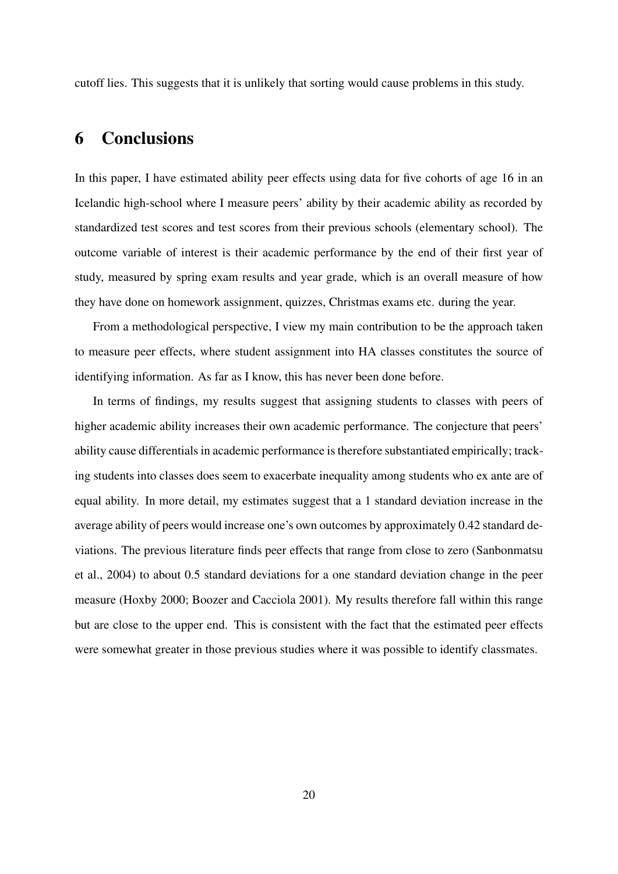cutoff lies. This suggests that it is unlikely that sorting would cause problems in this study.

### 6 Conclusions

In this paper, I have estimated ability peer effects using data for five cohorts of age 16 in an Icelandic high-school where I measure peers' ability by their academic ability as recorded by standardized test scores and test scores from their previous schools (elementary school). The outcome variable of interest is their academic performance by the end of their first year of study, measured by spring exam results and year grade, which is an overall measure of how they have done on homework assignment, quizzes, Christmas exams etc. during the year.

From a methodological perspective, I view my main contribution to be the approach taken to measure peer effects, where student assignment into HA classes constitutes the source of identifying information. As far as I know, this has never been done before.

In terms of findings, my results suggest that assigning students to classes with peers of higher academic ability increases their own academic performance. The conjecture that peers' ability cause differentials in academic performance is therefore substantiated empirically; tracking students into classes does seem to exacerbate inequality among students who ex ante are of equal ability. In more detail, my estimates suggest that a 1 standard deviation increase in the average ability of peers would increase one's own outcomes by approximately 0.42 standard deviations. The previous literature finds peer effects that range from close to zero (Sanbonmatsu et al., 2004) to about 0.5 standard deviations for a one standard deviation change in the peer measure (Hoxby 2000; Boozer and Cacciola 2001). My results therefore fall within this range but are close to the upper end. This is consistent with the fact that the estimated peer effects were somewhat greater in those previous studies where it was possible to identify classmates.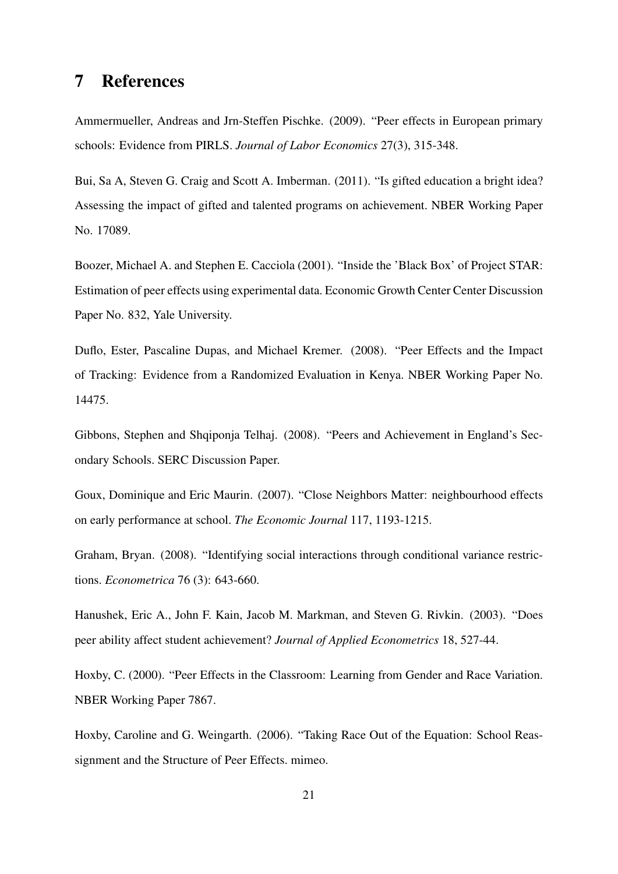### 7 References

Ammermueller, Andreas and Jrn-Steffen Pischke. (2009). "Peer effects in European primary schools: Evidence from PIRLS. *Journal of Labor Economics* 27(3), 315-348.

Bui, Sa A, Steven G. Craig and Scott A. Imberman. (2011). "Is gifted education a bright idea? Assessing the impact of gifted and talented programs on achievement. NBER Working Paper No. 17089.

Boozer, Michael A. and Stephen E. Cacciola (2001). "Inside the 'Black Box' of Project STAR: Estimation of peer effects using experimental data. Economic Growth Center Center Discussion Paper No. 832, Yale University.

Duflo, Ester, Pascaline Dupas, and Michael Kremer. (2008). "Peer Effects and the Impact of Tracking: Evidence from a Randomized Evaluation in Kenya. NBER Working Paper No. 14475.

Gibbons, Stephen and Shqiponja Telhaj. (2008). "Peers and Achievement in England's Secondary Schools. SERC Discussion Paper.

Goux, Dominique and Eric Maurin. (2007). "Close Neighbors Matter: neighbourhood effects on early performance at school. *The Economic Journal* 117, 1193-1215.

Graham, Bryan. (2008). "Identifying social interactions through conditional variance restrictions. *Econometrica* 76 (3): 643-660.

Hanushek, Eric A., John F. Kain, Jacob M. Markman, and Steven G. Rivkin. (2003). "Does peer ability affect student achievement? *Journal of Applied Econometrics* 18, 527-44.

Hoxby, C. (2000). "Peer Effects in the Classroom: Learning from Gender and Race Variation. NBER Working Paper 7867.

Hoxby, Caroline and G. Weingarth. (2006). "Taking Race Out of the Equation: School Reassignment and the Structure of Peer Effects. mimeo.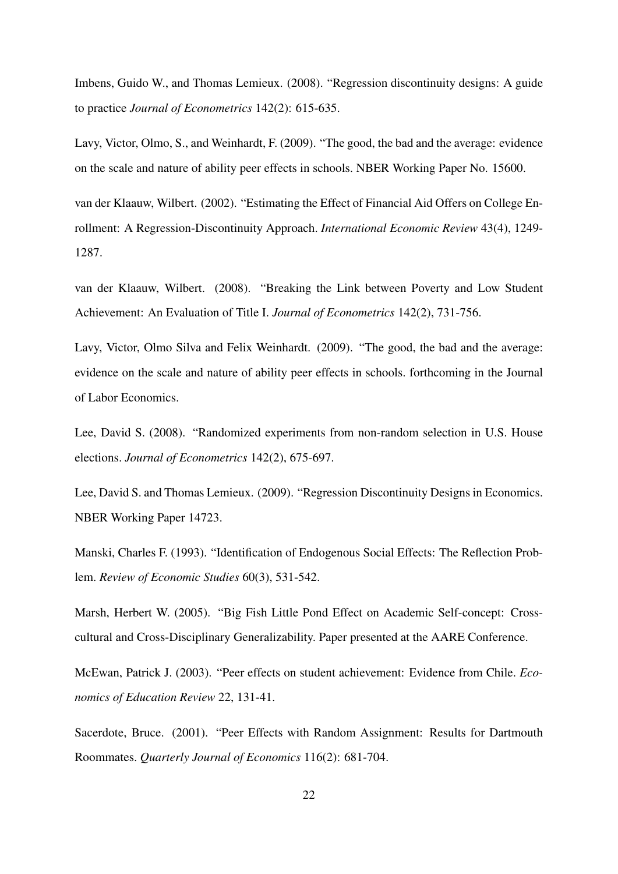Imbens, Guido W., and Thomas Lemieux. (2008). "Regression discontinuity designs: A guide to practice *Journal of Econometrics* 142(2): 615-635.

Lavy, Victor, Olmo, S., and Weinhardt, F. (2009). "The good, the bad and the average: evidence on the scale and nature of ability peer effects in schools. NBER Working Paper No. 15600.

van der Klaauw, Wilbert. (2002). "Estimating the Effect of Financial Aid Offers on College Enrollment: A Regression-Discontinuity Approach. *International Economic Review* 43(4), 1249- 1287.

van der Klaauw, Wilbert. (2008). "Breaking the Link between Poverty and Low Student Achievement: An Evaluation of Title I. *Journal of Econometrics* 142(2), 731-756.

Lavy, Victor, Olmo Silva and Felix Weinhardt. (2009). "The good, the bad and the average: evidence on the scale and nature of ability peer effects in schools. forthcoming in the Journal of Labor Economics.

Lee, David S. (2008). "Randomized experiments from non-random selection in U.S. House elections. *Journal of Econometrics* 142(2), 675-697.

Lee, David S. and Thomas Lemieux. (2009). "Regression Discontinuity Designs in Economics. NBER Working Paper 14723.

Manski, Charles F. (1993). "Identification of Endogenous Social Effects: The Reflection Problem. *Review of Economic Studies* 60(3), 531-542.

Marsh, Herbert W. (2005). "Big Fish Little Pond Effect on Academic Self-concept: Crosscultural and Cross-Disciplinary Generalizability. Paper presented at the AARE Conference.

McEwan, Patrick J. (2003). "Peer effects on student achievement: Evidence from Chile. *Economics of Education Review* 22, 131-41.

Sacerdote, Bruce. (2001). "Peer Effects with Random Assignment: Results for Dartmouth Roommates. *Quarterly Journal of Economics* 116(2): 681-704.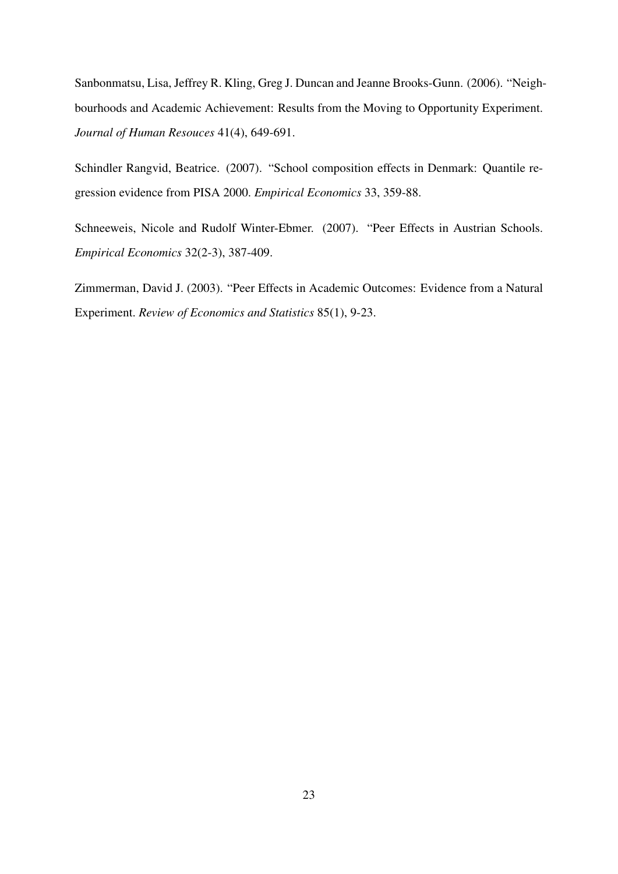Sanbonmatsu, Lisa, Jeffrey R. Kling, Greg J. Duncan and Jeanne Brooks-Gunn. (2006). "Neighbourhoods and Academic Achievement: Results from the Moving to Opportunity Experiment. *Journal of Human Resouces* 41(4), 649-691.

Schindler Rangvid, Beatrice. (2007). "School composition effects in Denmark: Quantile regression evidence from PISA 2000. *Empirical Economics* 33, 359-88.

Schneeweis, Nicole and Rudolf Winter-Ebmer. (2007). "Peer Effects in Austrian Schools. *Empirical Economics* 32(2-3), 387-409.

Zimmerman, David J. (2003). "Peer Effects in Academic Outcomes: Evidence from a Natural Experiment. *Review of Economics and Statistics* 85(1), 9-23.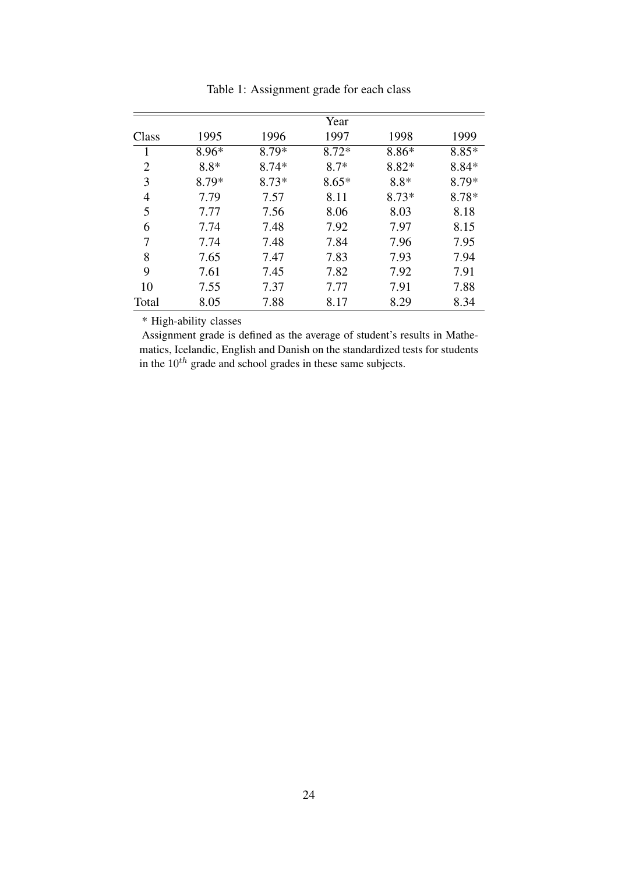|                       |         |         | Year    |         |         |
|-----------------------|---------|---------|---------|---------|---------|
| Class                 | 1995    | 1996    | 1997    | 1998    | 1999    |
| 1                     | $8.96*$ | 8.79*   | $8.72*$ | $8.86*$ | $8.85*$ |
| $\mathcal{D}_{\cdot}$ | 8.8*    | $8.74*$ | $8.7*$  | 8.82*   | 8.84*   |
| 3                     | 8.79*   | $8.73*$ | $8.65*$ | $8.8*$  | 8.79*   |
| 4                     | 7.79    | 7.57    | 8.11    | $8.73*$ | 8.78*   |
| 5                     | 7.77    | 7.56    | 8.06    | 8.03    | 8.18    |
| 6                     | 7.74    | 7.48    | 7.92    | 7.97    | 8.15    |
| 7                     | 7.74    | 7.48    | 7.84    | 7.96    | 7.95    |
| 8                     | 7.65    | 7.47    | 7.83    | 7.93    | 7.94    |
| 9                     | 7.61    | 7.45    | 7.82    | 7.92    | 7.91    |
| 10                    | 7.55    | 7.37    | 7.77    | 7.91    | 7.88    |
| Total                 | 8.05    | 7.88    | 8.17    | 8.29    | 8.34    |

Table 1: Assignment grade for each class

\* High-ability classes

Assignment grade is defined as the average of student's results in Mathematics, Icelandic, English and Danish on the standardized tests for students in the  $10^{th}$  grade and school grades in these same subjects.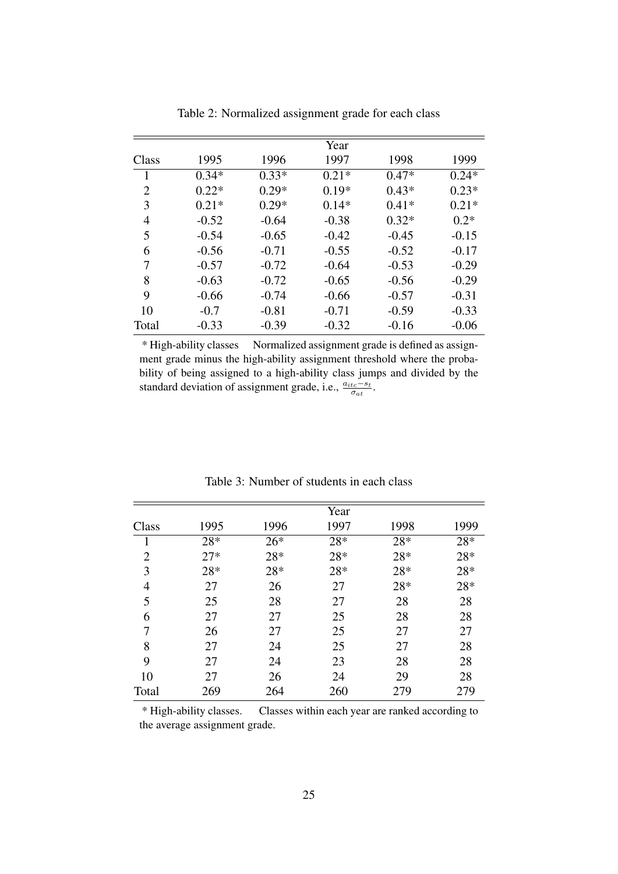|       |         |         | Year    |         |         |
|-------|---------|---------|---------|---------|---------|
| Class | 1995    | 1996    | 1997    | 1998    | 1999    |
| 1     | $0.34*$ | $0.33*$ | $0.21*$ | $0.47*$ | $0.24*$ |
| 2     | $0.22*$ | $0.29*$ | $0.19*$ | $0.43*$ | $0.23*$ |
| 3     | $0.21*$ | $0.29*$ | $0.14*$ | $0.41*$ | $0.21*$ |
| 4     | $-0.52$ | $-0.64$ | $-0.38$ | $0.32*$ | $0.2*$  |
| 5     | $-0.54$ | $-0.65$ | $-0.42$ | $-0.45$ | $-0.15$ |
| 6     | $-0.56$ | $-0.71$ | $-0.55$ | $-0.52$ | $-0.17$ |
| 7     | $-0.57$ | $-0.72$ | $-0.64$ | $-0.53$ | $-0.29$ |
| 8     | $-0.63$ | $-0.72$ | $-0.65$ | $-0.56$ | $-0.29$ |
| 9     | $-0.66$ | $-0.74$ | $-0.66$ | $-0.57$ | $-0.31$ |
| 10    | $-0.7$  | $-0.81$ | $-0.71$ | $-0.59$ | $-0.33$ |
| Total | $-0.33$ | $-0.39$ | $-0.32$ | $-0.16$ | $-0.06$ |

Table 2: Normalized assignment grade for each class

\* High-ability classes Normalized assignment grade is defined as assignment grade minus the high-ability assignment threshold where the probability of being assigned to a high-ability class jumps and divided by the standard deviation of assignment grade, i.e.,  $\frac{a_{itc}-s_t}{\sigma_{at}}$ .

|       |       |       | Year |       |       |
|-------|-------|-------|------|-------|-------|
| Class | 1995  | 1996  | 1997 | 1998  | 1999  |
|       | 28*   | $26*$ | 28*  | 28*   | 28*   |
| 2     | $27*$ | $28*$ | 28*  | $28*$ | $28*$ |
| 3     | 28*   | $28*$ | 28*  | 28*   | 28*   |
| 4     | 27    | 26    | 27   | 28*   | 28*   |
| 5     | 25    | 28    | 27   | 28    | 28    |
| 6     | 27    | 27    | 25   | 28    | 28    |
| 7     | 26    | 27    | 25   | 27    | 27    |
| 8     | 27    | 24    | 25   | 27    | 28    |
| 9     | 27    | 24    | 23   | 28    | 28    |
| 10    | 27    | 26    | 24   | 29    | 28    |
| Total | 269   | 264   | 260  | 279   | 279   |

Table 3: Number of students in each class

\* High-ability classes. Classes within each year are ranked according to the average assignment grade.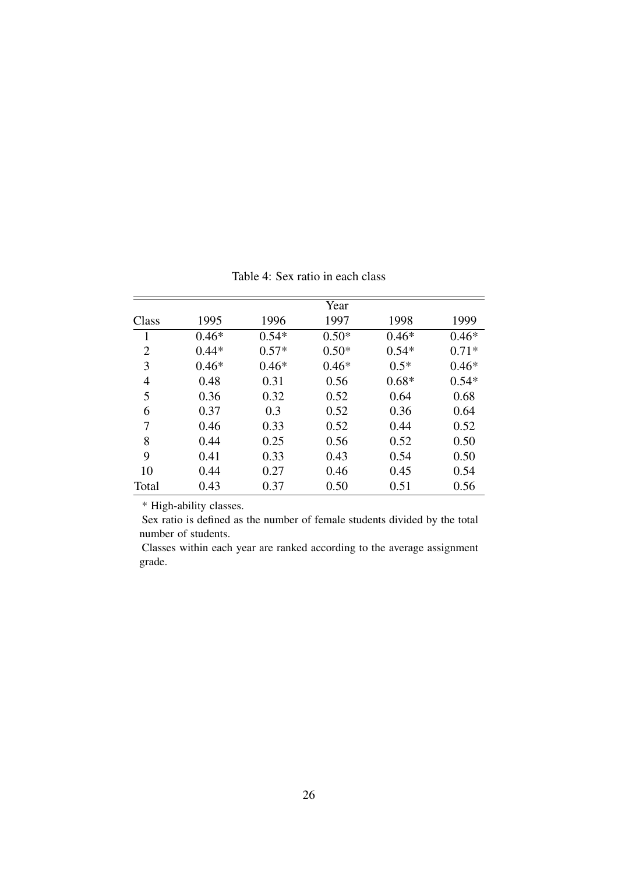|                |         |         | Year    |         |         |
|----------------|---------|---------|---------|---------|---------|
| Class          | 1995    | 1996    | 1997    | 1998    | 1999    |
| 1              | $0.46*$ | $0.54*$ | $0.50*$ | $0.46*$ | $0.46*$ |
| $\overline{2}$ | $0.44*$ | $0.57*$ | $0.50*$ | $0.54*$ | $0.71*$ |
| 3              | $0.46*$ | $0.46*$ | $0.46*$ | $0.5*$  | $0.46*$ |
| 4              | 0.48    | 0.31    | 0.56    | $0.68*$ | $0.54*$ |
| 5              | 0.36    | 0.32    | 0.52    | 0.64    | 0.68    |
| 6              | 0.37    | 0.3     | 0.52    | 0.36    | 0.64    |
| 7              | 0.46    | 0.33    | 0.52    | 0.44    | 0.52    |
| 8              | 0.44    | 0.25    | 0.56    | 0.52    | 0.50    |
| 9              | 0.41    | 0.33    | 0.43    | 0.54    | 0.50    |
| 10             | 0.44    | 0.27    | 0.46    | 0.45    | 0.54    |
| Total          | 0.43    | 0.37    | 0.50    | 0.51    | 0.56    |
|                |         |         |         |         |         |

Table 4: Sex ratio in each class

\* High-ability classes.

Sex ratio is defined as the number of female students divided by the total number of students.

Classes within each year are ranked according to the average assignment grade.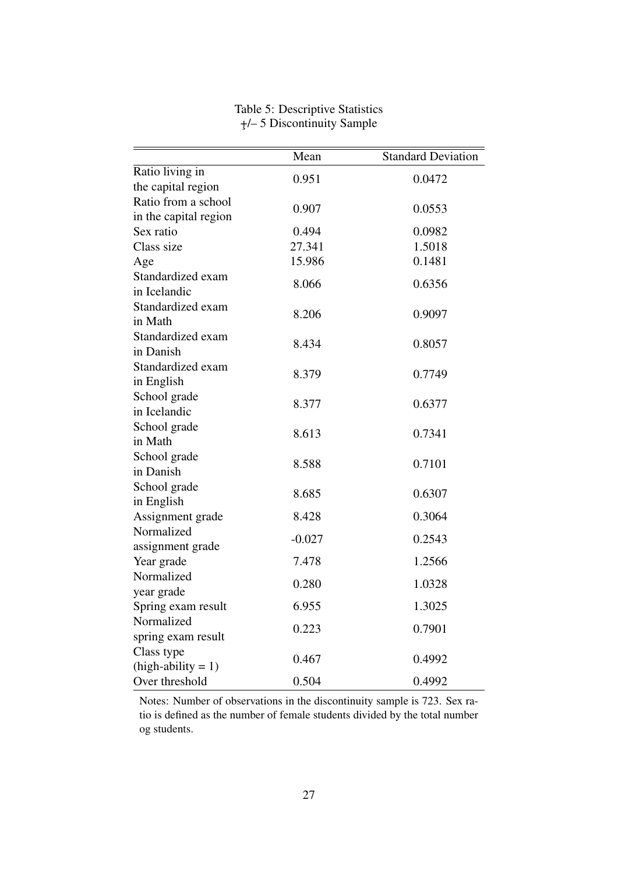|                       | Mean     | <b>Standard Deviation</b> |
|-----------------------|----------|---------------------------|
| Ratio living in       | 0.951    | 0.0472                    |
| the capital region    |          |                           |
| Ratio from a school   | 0.907    | 0.0553                    |
| in the capital region |          |                           |
| Sex ratio             | 0.494    | 0.0982                    |
| Class size            | 27.341   | 1.5018                    |
| Age                   | 15.986   | 0.1481                    |
| Standardized exam     | 8.066    | 0.6356                    |
| in Icelandic          |          |                           |
| Standardized exam     |          |                           |
| in Math               | 8.206    | 0.9097                    |
| Standardized exam     |          |                           |
| in Danish             | 8.434    | 0.8057                    |
| Standardized exam     |          |                           |
| in English            | 8.379    | 0.7749                    |
| School grade          |          |                           |
| in Icelandic          | 8.377    | 0.6377                    |
| School grade          |          |                           |
| in Math               | 8.613    | 0.7341                    |
| School grade          |          |                           |
| in Danish             | 8.588    | 0.7101                    |
| School grade          |          |                           |
| in English            | 8.685    | 0.6307                    |
| Assignment grade      | 8.428    | 0.3064                    |
| Normalized            | $-0.027$ | 0.2543                    |
| assignment grade      |          |                           |
| Year grade            | 7.478    | 1.2566                    |
| Normalized            | 0.280    | 1.0328                    |
| year grade            |          |                           |
| Spring exam result    | 6.955    | 1.3025                    |
| Normalized            | 0.223    | 0.7901                    |
| spring exam result    |          |                           |
| Class type            | 0.467    | 0.4992                    |
| $(high-ability = 1)$  |          |                           |
| Over threshold        | 0.504    | 0.4992                    |

#### Table 5: Descriptive Statistics  $+/- 5$  Discontinuity Sample

Notes: Number of observations in the discontinuity sample is 723. Sex ratio is defined as the number of female students divided by the total number og students.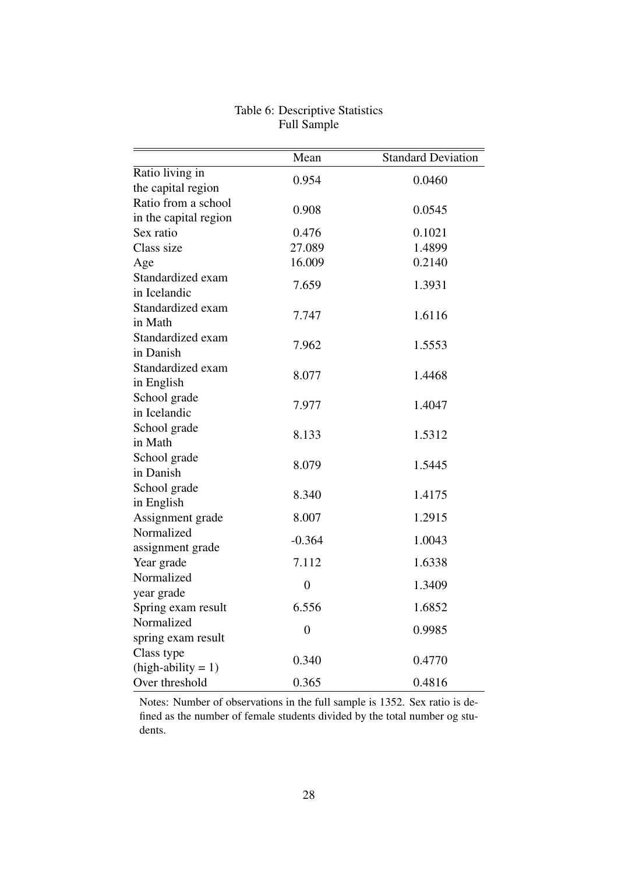|                       | Mean           | <b>Standard Deviation</b> |
|-----------------------|----------------|---------------------------|
| Ratio living in       |                |                           |
| the capital region    | 0.954          | 0.0460                    |
| Ratio from a school   |                |                           |
| in the capital region | 0.908          | 0.0545                    |
| Sex ratio             | 0.476          | 0.1021                    |
| Class size            | 27.089         | 1.4899                    |
| Age                   | 16.009         | 0.2140                    |
| Standardized exam     |                |                           |
| in Icelandic          | 7.659          | 1.3931                    |
| Standardized exam     | 7.747          | 1.6116                    |
| in Math               |                |                           |
| Standardized exam     | 7.962          | 1.5553                    |
| in Danish             |                |                           |
| Standardized exam     | 8.077          | 1.4468                    |
| in English            |                |                           |
| School grade          | 7.977          | 1.4047                    |
| in Icelandic          |                |                           |
| School grade          | 8.133          | 1.5312                    |
| in Math               |                |                           |
| School grade          | 8.079          | 1.5445                    |
| in Danish             |                |                           |
| School grade          | 8.340          | 1.4175                    |
| in English            |                |                           |
| Assignment grade      | 8.007          | 1.2915                    |
| Normalized            | $-0.364$       | 1.0043                    |
| assignment grade      |                |                           |
| Year grade            | 7.112          | 1.6338                    |
| Normalized            | $\overline{0}$ | 1.3409                    |
| year grade            |                |                           |
| Spring exam result    | 6.556          | 1.6852                    |
| Normalized            | $\overline{0}$ | 0.9985                    |
| spring exam result    |                |                           |
| Class type            | 0.340          | 0.4770                    |
| $(high-ability = 1)$  |                |                           |
| Over threshold        | 0.365          | 0.4816                    |

#### Table 6: Descriptive Statistics Full Sample

Notes: Number of observations in the full sample is 1352. Sex ratio is defined as the number of female students divided by the total number og students.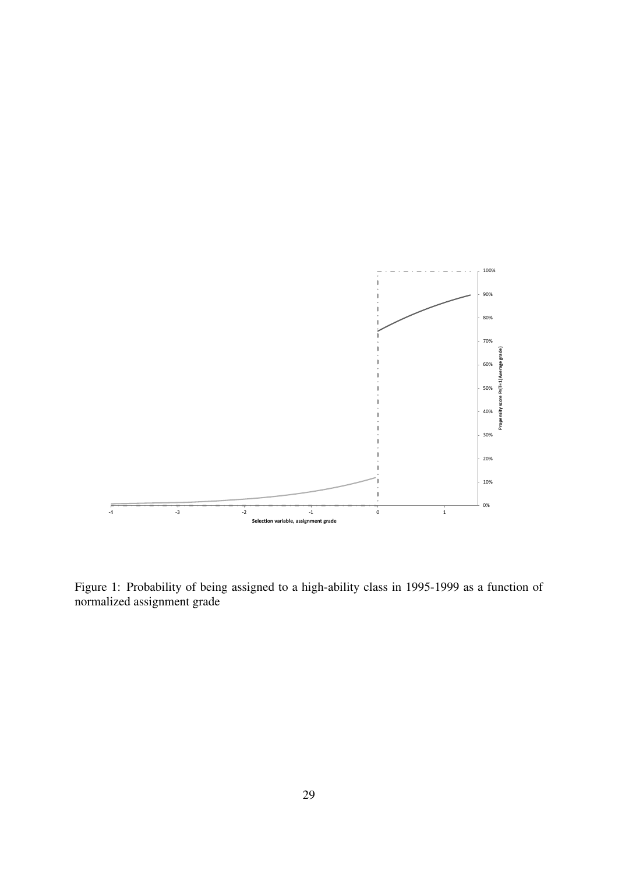

Figure 1: Probability of being assigned to a high-ability class in 1995-1999 as a function of normalized assignment grade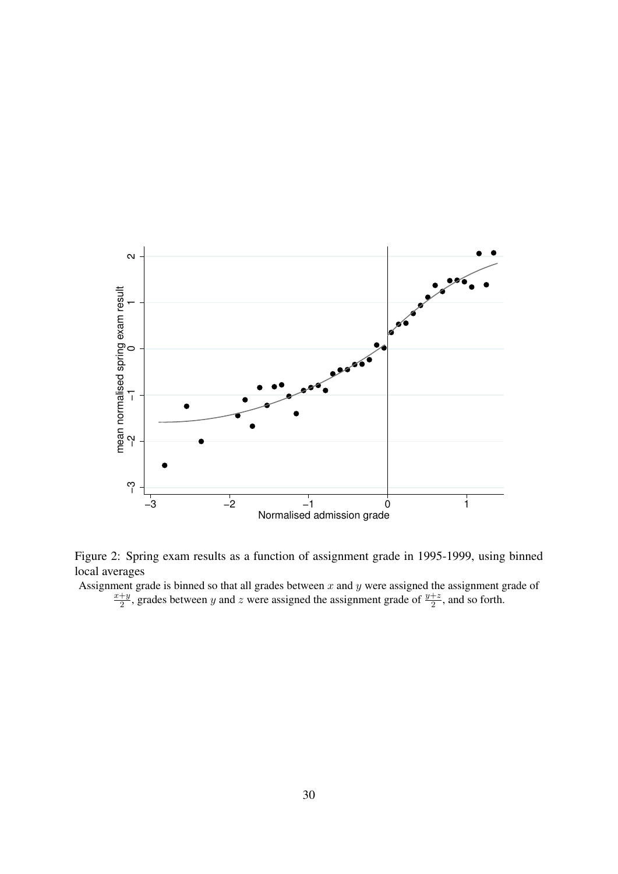

Figure 2: Spring exam results as a function of assignment grade in 1995-1999, using binned local averages

Assignment grade is binned so that all grades between x and y were assigned the assignment grade of  $x+y$  and so between u and  $\infty$  were assigned the assignment grade of  $y+z$  and so forth  $\frac{+y}{2}$ , grades between y and z were assigned the assignment grade of  $\frac{y+z}{2}$ , and so forth.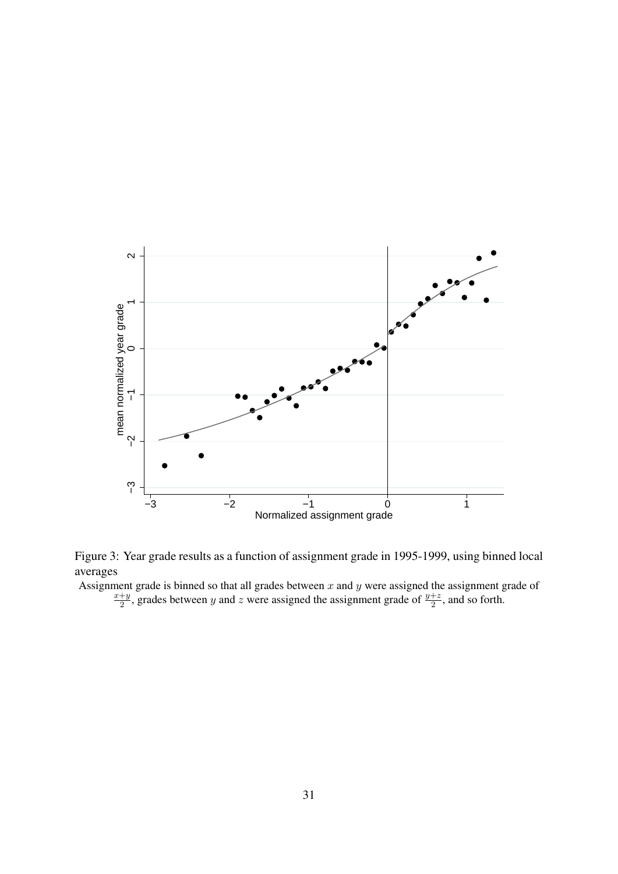

Figure 3: Year grade results as a function of assignment grade in 1995-1999, using binned local averages

Assignment grade is binned so that all grades between x and y were assigned the assignment grade of  $x+y$  and so between u and  $\infty$  were assigned the assignment grade of  $y+z$  and so forth  $\frac{+y}{2}$ , grades between y and z were assigned the assignment grade of  $\frac{y+z}{2}$ , and so forth.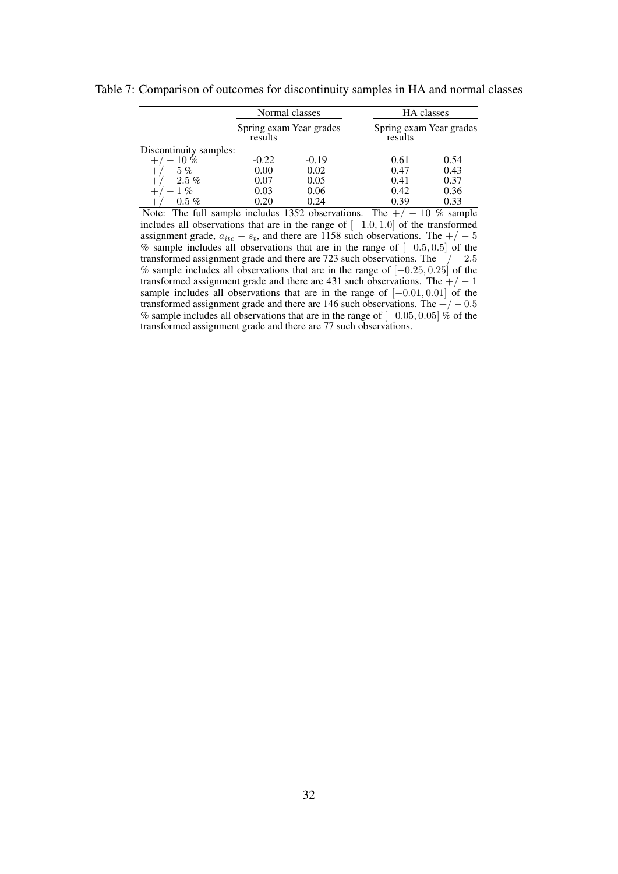|                        |         | Normal classes          |                                    | <b>HA</b> classes |
|------------------------|---------|-------------------------|------------------------------------|-------------------|
|                        | results | Spring exam Year grades | Spring exam Year grades<br>results |                   |
| Discontinuity samples: |         |                         |                                    |                   |
| $10\,\%$               | $-0.22$ | $-0.19$                 | 0.61                               | 0.54              |
| $5\%$                  | 0.00    | 0.02                    | 0.47                               | 0.43              |
| $-2.5\ \%$             | 0.07    | 0.05                    | 0.41                               | 0.37              |
| $1\,\%$                | 0.03    | 0.06                    | 0.42                               | 0.36              |
| $-0.5\%$               | 0.20    | 0.24                    | 0.39                               | 0.33              |

Table 7: Comparison of outcomes for discontinuity samples in HA and normal classes

Note: The full sample includes 1352 observations. The  $+/-10$  % sample includes all observations that are in the range of  $[-1.0, 1.0]$  of the transformed assignment grade,  $a_{itc} - s_t$ , and there are 1158 such observations. The  $+/- 5$ % sample includes all observations that are in the range of  $[-0.5, 0.5]$  of the transformed assignment grade and there are 723 such observations. The  $+/-2.5$ % sample includes all observations that are in the range of  $[-0.25, 0.25]$  of the transformed assignment grade and there are 431 such observations. The  $+/-1$ sample includes all observations that are in the range of [−0.01, 0.01] of the transformed assignment grade and there are 146 such observations. The  $+/-0.5$ % sample includes all observations that are in the range of [−0.05, 0.05] % of the transformed assignment grade and there are 77 such observations.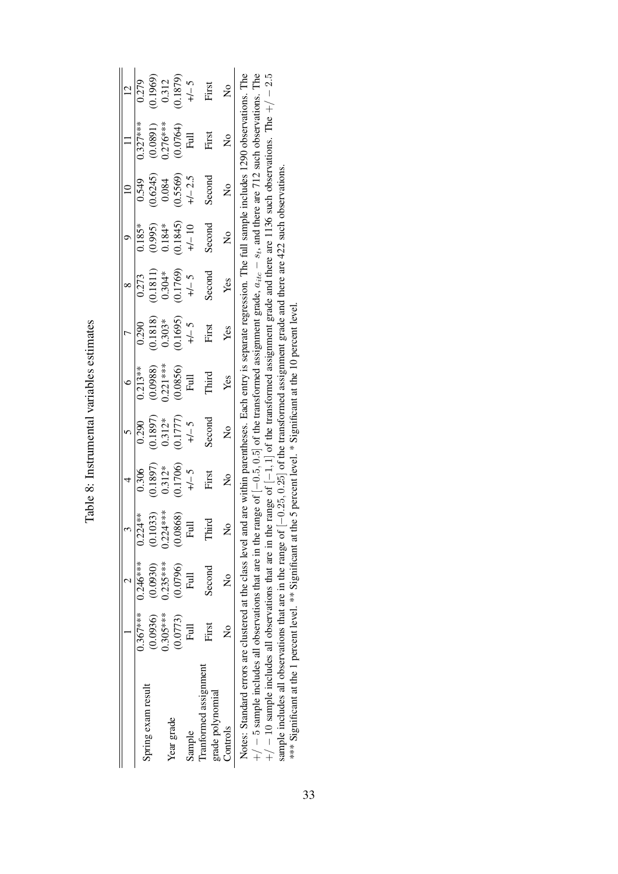|                                                                                                                                                                                  | $0.367***$    | $0.246***$    | $0.224**$     | 0.306                   | 0.290         | $0.213**$   | 0.290              | 0.273               | $0.185*$             | 0.549                | $0.327***$                            | 0.279                          |
|----------------------------------------------------------------------------------------------------------------------------------------------------------------------------------|---------------|---------------|---------------|-------------------------|---------------|-------------|--------------------|---------------------|----------------------|----------------------|---------------------------------------|--------------------------------|
| Spring exam result                                                                                                                                                               | (0.0936)      | (0.0930)      | (0.1033)      | (0.1897)                | (0.1897)      | (0.0988)    | (0.1818)           | (0.1811)            |                      | (0.6245)             | (0.0891)                              | (0.1969)                       |
|                                                                                                                                                                                  | $0.305***$    | $0.235***$    | 1***<br>0.224 | $0.312*$                | $0.312*$      | $0.221***$  | $0.303*$           | $0.304*$            | $(0.995)$<br>0.184*  | 0.084                | $0.276***$                            | 0.312                          |
| Year grade                                                                                                                                                                       | (0.0773)      | (0.0796)      | (0.0868)      | (0.1706)                | (0.1777)      | (0.0856)    |                    | $(0.1769)$<br>+/- 5 |                      |                      | $\frac{\text{(0.0764)}}{\text{Full}}$ | $(0.1879)$<br>+/- 5            |
| Sample                                                                                                                                                                           | Full          | Full          | 旵             | $-/-$                   | $5 - 7 +$     | $\rm{Full}$ | $(0.1695)$<br>+/-5 |                     | $(0.1845)$<br>+/- 10 | $(0.5569)$<br>+/-2.5 |                                       |                                |
| Tranformed assignment                                                                                                                                                            | First         | Second        | $\rm Tnird$   | First                   | Second        | Third       | First              | Second              | Second               | Second               | First                                 | First                          |
| grade polynomial                                                                                                                                                                 |               |               |               |                         |               |             |                    |                     |                      |                      |                                       |                                |
| Controls                                                                                                                                                                         | $\frac{c}{Z}$ | $\frac{1}{2}$ |               | $\mathsf{\Sigma}^\circ$ | $\frac{1}{2}$ | Yes         | Yes                | Yes                 | $\tilde{\mathsf{z}}$ | $\mathsf{z}^{\circ}$ | $\mathsf{\Sigma}^{\circ}$             | $\stackrel{\circ}{\mathsf{z}}$ |
| Notes: Standard errors are clustered at the class level and are within parentheses. Each entry is separate regression. The full sample includes 1290 observations. The           |               |               |               |                         |               |             |                    |                     |                      |                      |                                       |                                |
| +/ - 5 sample includes all observations that are in the range of $[-0.5, 0.5]$ of the transformed assignment grade, $a_{itc}$ - $s_t$ , and there are 712 such observations. The |               |               |               |                         |               |             |                    |                     |                      |                      |                                       |                                |
|                                                                                                                                                                                  |               |               |               |                         |               |             |                    |                     |                      |                      |                                       |                                |

Table 8: Instrumental variables estimates Table 8: Instrumental variables estimates  $+/-$  5 sample includes all observations that are in the range of  $[-0.5, 0.5]$  of the transformed assignment grade,  $a_{ttc} - s_t$ , and there are 712 such observations. The  $+/-$  10 sample includes all observations that are in  $+/-$  -10 sample includes all observations that are in the range of [−1, 1] of the transformed assignment grade and there are 1136 such observations. The +/ - 2.5 sample includes all observations that are in the range of [−0.25, 0.25] of the transformed assignment grade and there are 422 such observations. \*\*\* Significant at the 1 percent level. \*\*\* Significant at the 5 percent level. \* Significant at the 10 percent level. \*\*\* Significant at the 1 percent level. \*\* Significant at the 5 percent level. \* Significant at the 10 percent level.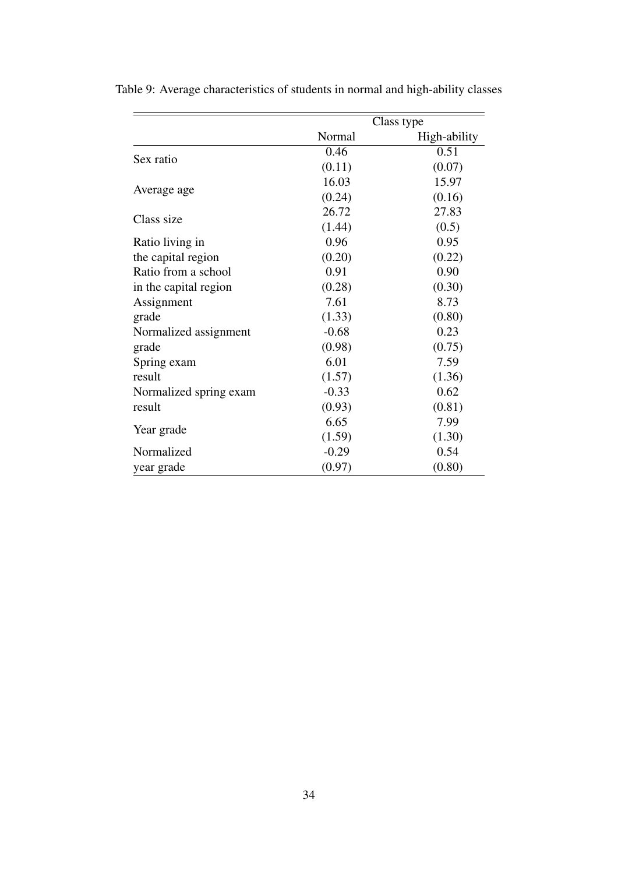|                        |         | Class type   |
|------------------------|---------|--------------|
|                        | Normal  | High-ability |
|                        | 0.46    | 0.51         |
| Sex ratio              | (0.11)  | (0.07)       |
|                        | 16.03   | 15.97        |
| Average age            | (0.24)  | (0.16)       |
| Class size             | 26.72   | 27.83        |
|                        | (1.44)  | (0.5)        |
| Ratio living in        | 0.96    | 0.95         |
| the capital region     | (0.20)  | (0.22)       |
| Ratio from a school    | 0.91    | 0.90         |
| in the capital region  | (0.28)  | (0.30)       |
| Assignment             | 7.61    | 8.73         |
| grade                  | (1.33)  | (0.80)       |
| Normalized assignment  | $-0.68$ | 0.23         |
| grade                  | (0.98)  | (0.75)       |
| Spring exam            | 6.01    | 7.59         |
| result                 | (1.57)  | (1.36)       |
| Normalized spring exam | $-0.33$ | 0.62         |
| result                 | (0.93)  | (0.81)       |
|                        | 6.65    | 7.99         |
| Year grade             | (1.59)  | (1.30)       |
| Normalized             | $-0.29$ | 0.54         |
| year grade             | (0.97)  | (0.80)       |

Table 9: Average characteristics of students in normal and high-ability classes